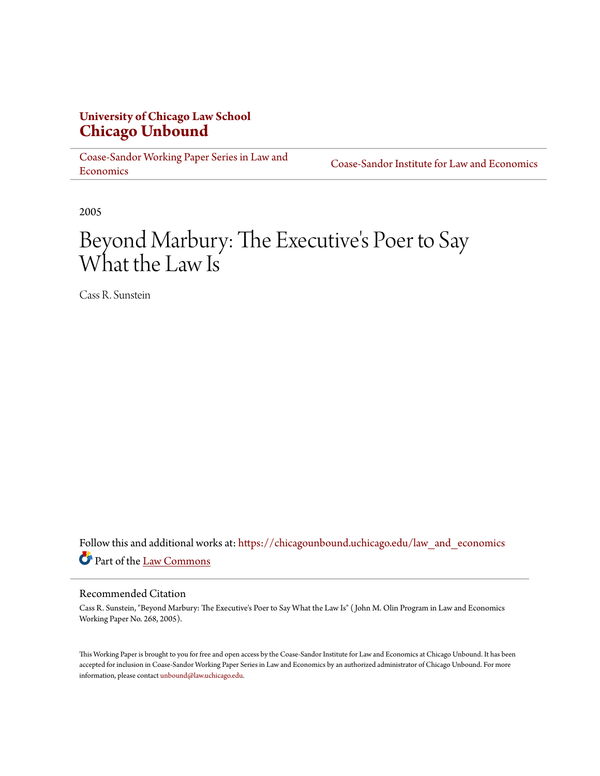## **University of Chicago Law School [Chicago Unbound](https://chicagounbound.uchicago.edu?utm_source=chicagounbound.uchicago.edu%2Flaw_and_economics%2F86&utm_medium=PDF&utm_campaign=PDFCoverPages)**

[Coase-Sandor Working Paper Series in Law and](https://chicagounbound.uchicago.edu/law_and_economics?utm_source=chicagounbound.uchicago.edu%2Flaw_and_economics%2F86&utm_medium=PDF&utm_campaign=PDFCoverPages) [Economics](https://chicagounbound.uchicago.edu/law_and_economics?utm_source=chicagounbound.uchicago.edu%2Flaw_and_economics%2F86&utm_medium=PDF&utm_campaign=PDFCoverPages)

[Coase-Sandor Institute for Law and Economics](https://chicagounbound.uchicago.edu/coase_sandor_institute?utm_source=chicagounbound.uchicago.edu%2Flaw_and_economics%2F86&utm_medium=PDF&utm_campaign=PDFCoverPages)

2005

# Beyond Marbury: The Executive 's Poer to Say What the Law Is

Cass R. Sunstein

Follow this and additional works at: [https://chicagounbound.uchicago.edu/law\\_and\\_economics](https://chicagounbound.uchicago.edu/law_and_economics?utm_source=chicagounbound.uchicago.edu%2Flaw_and_economics%2F86&utm_medium=PDF&utm_campaign=PDFCoverPages) Part of the [Law Commons](http://network.bepress.com/hgg/discipline/578?utm_source=chicagounbound.uchicago.edu%2Flaw_and_economics%2F86&utm_medium=PDF&utm_campaign=PDFCoverPages)

#### Recommended Citation

Cass R. Sunstein, "Beyond Marbury: The Executive's Poer to Say What the Law Is" ( John M. Olin Program in Law and Economics Working Paper No. 268, 2005).

This Working Paper is brought to you for free and open access by the Coase-Sandor Institute for Law and Economics at Chicago Unbound. It has been accepted for inclusion in Coase-Sandor Working Paper Series in Law and Economics by an authorized administrator of Chicago Unbound. For more information, please contact [unbound@law.uchicago.edu.](mailto:unbound@law.uchicago.edu)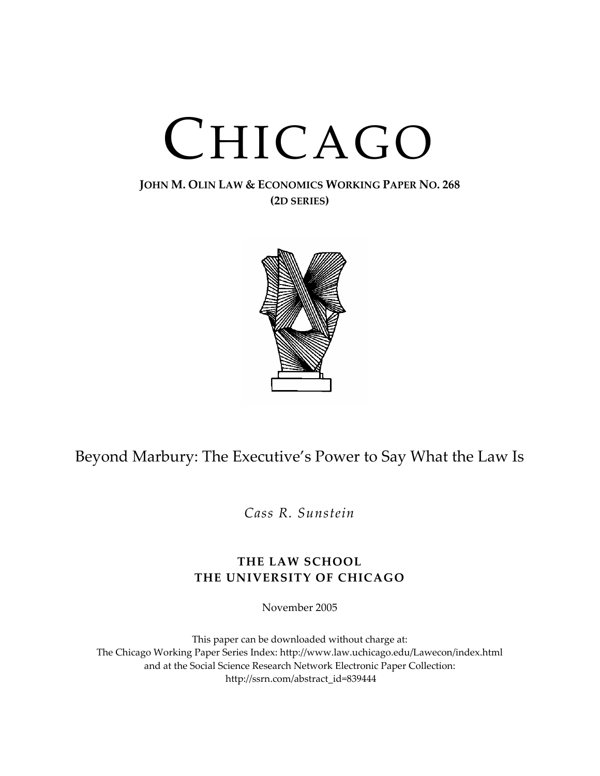# CHICAGO

## **JOHN M. OLIN LAW & ECONOMICS WORKING PAPER NO. 268 (2D SERIES)**



# Beyond Marbury: The Executive's Power to Say What the Law Is

*Cass R. Sunstein*

## **THE LAW SCHOOL THE UNIVERSITY OF CHICAGO**

November 2005

This paper can be downloaded without charge at: The Chicago Working Paper Series Index: http://www.law.uchicago.edu/Lawecon/index.html and at the Social Science Research Network Electronic Paper Collection: http://ssrn.com/abstract\_id=839444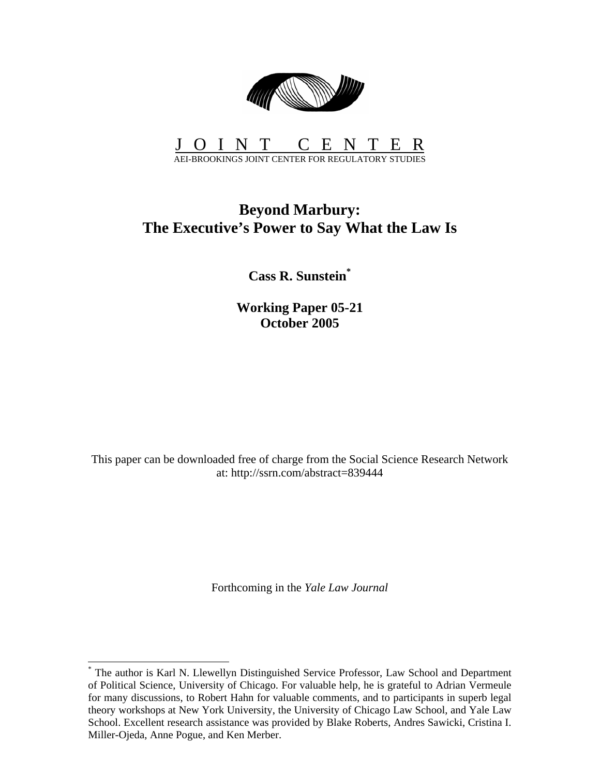

#### JOINT CENTER AEI-BROOKINGS JOINT CENTER FOR REGULATORY STUDIES

# **Beyond Marbury: The Executive's Power to Say What the Law Is**

**Cass R. Sunstein\***

**Working Paper 05-21 October 2005** 

This paper can be downloaded free of charge from the Social Science Research Network at: http://ssrn.com/abstract=839444

Forthcoming in the *Yale Law Journal*

<sup>\*</sup> The author is Karl N. Llewellyn Distinguished Service Professor, Law School and Department of Political Science, University of Chicago. For valuable help, he is grateful to Adrian Vermeule for many discussions, to Robert Hahn for valuable comments, and to participants in superb legal theory workshops at New York University, the University of Chicago Law School, and Yale Law School. Excellent research assistance was provided by Blake Roberts, Andres Sawicki, Cristina I. Miller-Ojeda, Anne Pogue, and Ken Merber.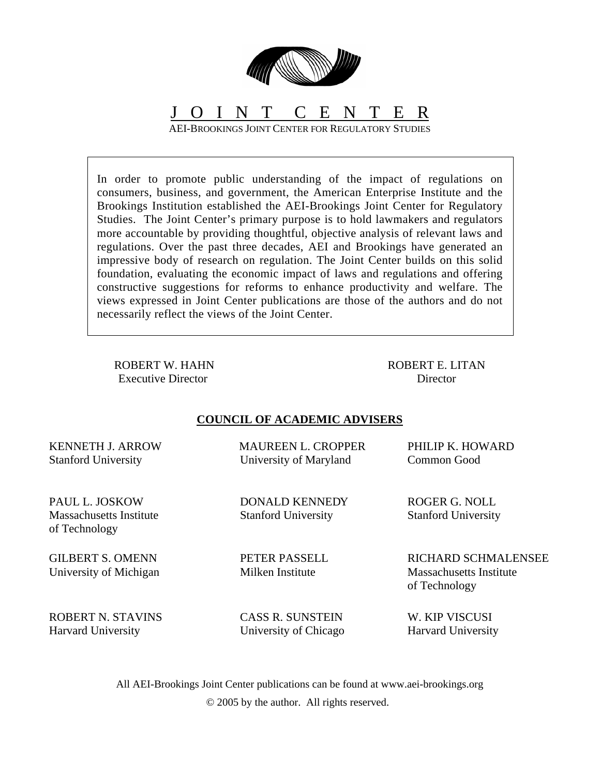

# J O I N T C E N T E R

AEI-BROOKINGS JOINT CENTER FOR REGULATORY STUDIES

In order to promote public understanding of the impact of regulations on consumers, business, and government, the American Enterprise Institute and the Brookings Institution established the AEI-Brookings Joint Center for Regulatory Studies. The Joint Center's primary purpose is to hold lawmakers and regulators more accountable by providing thoughtful, objective analysis of relevant laws and regulations. Over the past three decades, AEI and Brookings have generated an impressive body of research on regulation. The Joint Center builds on this solid foundation, evaluating the economic impact of laws and regulations and offering constructive suggestions for reforms to enhance productivity and welfare. The views expressed in Joint Center publications are those of the authors and do not necessarily reflect the views of the Joint Center.

ROBERT W. HAHN Executive Director

ROBERT E. LITAN **Director** 

### **COUNCIL OF ACADEMIC ADVISERS**

KENNETH J. ARROW Stanford University

PAUL L. JOSKOW Massachusetts Institute of Technology

GILBERT S. OMENN University of Michigan  MAUREEN L. CROPPER University of Maryland

 DONALD KENNEDY Stanford University

 PETER PASSELL Milken Institute

 PHILIP K. HOWARD Common Good

 ROGER G. NOLL Stanford University

 RICHARD SCHMALENSEE Massachusetts Institute of Technology

ROBERT N. STAVINS Harvard University

 CASS R. SUNSTEIN University of Chicago

 W. KIP VISCUSI Harvard University

All AEI-Brookings Joint Center publications can be found at www.aei-brookings.org © 2005 by the author. All rights reserved.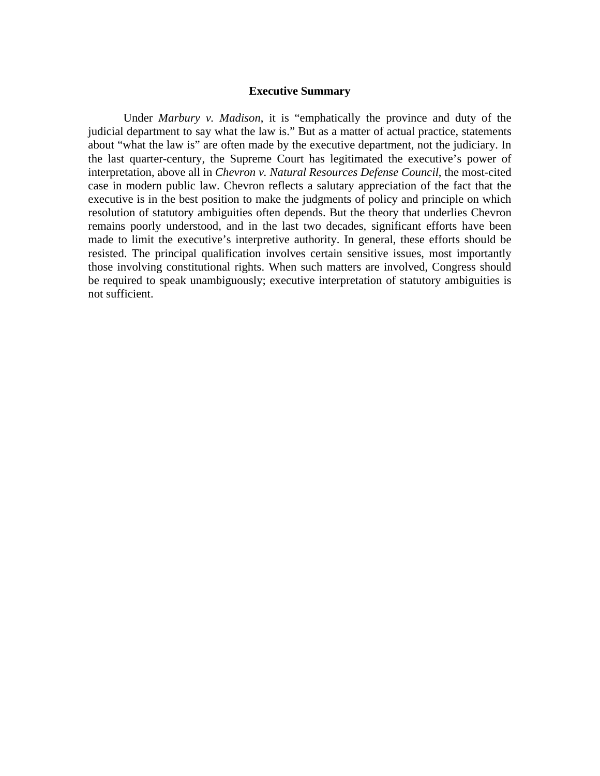#### **Executive Summary**

Under *Marbury v. Madison*, it is "emphatically the province and duty of the judicial department to say what the law is." But as a matter of actual practice, statements about "what the law is" are often made by the executive department, not the judiciary. In the last quarter-century, the Supreme Court has legitimated the executive's power of interpretation, above all in *Chevron v. Natural Resources Defense Council*, the most-cited case in modern public law. Chevron reflects a salutary appreciation of the fact that the executive is in the best position to make the judgments of policy and principle on which resolution of statutory ambiguities often depends. But the theory that underlies Chevron remains poorly understood, and in the last two decades, significant efforts have been made to limit the executive's interpretive authority. In general, these efforts should be resisted. The principal qualification involves certain sensitive issues, most importantly those involving constitutional rights. When such matters are involved, Congress should be required to speak unambiguously; executive interpretation of statutory ambiguities is not sufficient.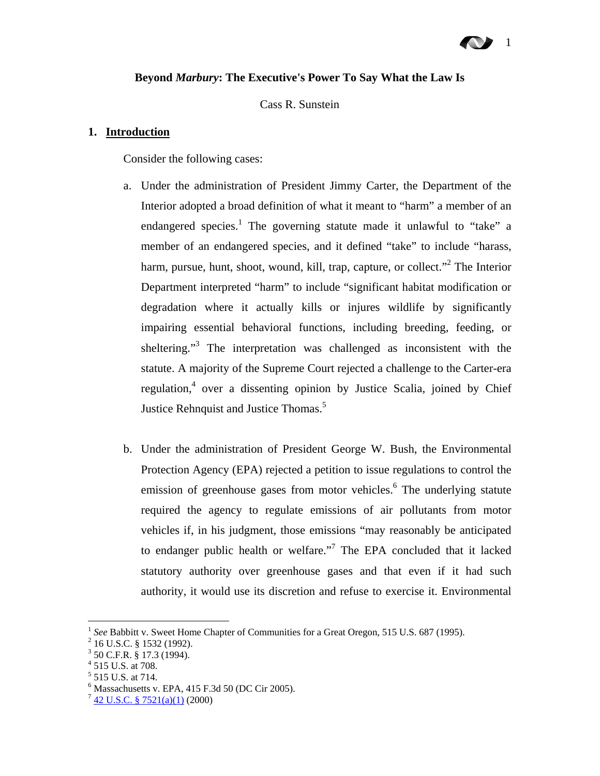# 1

#### **Beyond** *Marbury***: The Executive's Power To Say What the Law Is**

Cass R. Sunstein

#### **1. Introduction**

Consider the following cases:

- a. Under the administration of President Jimmy Carter, the Department of the Interior adopted a broad definition of what it meant to "harm" a member of an endangered species.<sup>1</sup> The governing statute made it unlawful to "take" a member of an endangered species, and it defined "take" to include "harass, harm, pursue, hunt, shoot, wound, kill, trap, capture, or collect."<sup>2</sup> The Interior Department interpreted "harm" to include "significant habitat modification or degradation where it actually kills or injures wildlife by significantly impairing essential behavioral functions, including breeding, feeding, or sheltering."<sup>3</sup> The interpretation was challenged as inconsistent with the statute. A majority of the Supreme Court rejected a challenge to the Carter-era regulation,<sup>4</sup> over a dissenting opinion by Justice Scalia, joined by Chief Justice Rehnquist and Justice Thomas.<sup>5</sup>
- b. Under the administration of President George W. Bush, the Environmental Protection Agency (EPA) rejected a petition to issue regulations to control the emission of greenhouse gases from motor vehicles.<sup>6</sup> The underlying statute required the agency to regulate emissions of air pollutants from motor vehicles if, in his judgment, those emissions "may reasonably be anticipated to endanger public health or welfare."<sup>7</sup> The EPA concluded that it lacked statutory authority over greenhouse gases and that even if it had such authority, it would use its discretion and refuse to exercise it. Environmental

<u>.</u>

<sup>&</sup>lt;sup>1</sup> See Babbitt v. Sweet Home Chapter of Communities for a Great Oregon, 515 U.S. 687 (1995).

<sup>&</sup>lt;sup>2</sup> 16 U.S.C. § 1532 (1992).

 $3$  50 C.F.R. § 17.3 (1994).

<sup>4</sup> 515 U.S. at 708.

<sup>&</sup>lt;sup>5</sup> 515 U.S. at 714.

 $6$  Massachusetts v. EPA, 415 F.3d 50 (DC Cir 2005).

 $7$  42 U.S.C. § 7521(a)(1) (2000)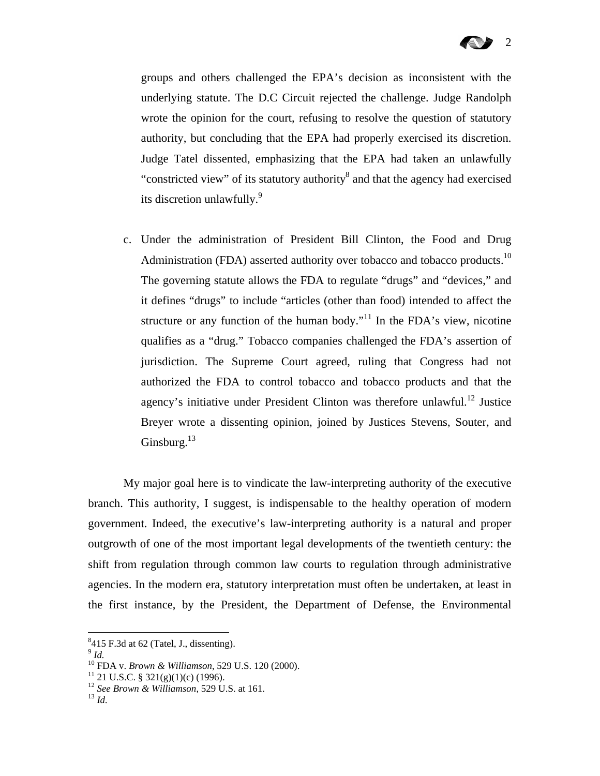groups and others challenged the EPA's decision as inconsistent with the underlying statute. The D.C Circuit rejected the challenge. Judge Randolph wrote the opinion for the court, refusing to resolve the question of statutory authority, but concluding that the EPA had properly exercised its discretion. Judge Tatel dissented, emphasizing that the EPA had taken an unlawfully "constricted view" of its statutory authority<sup>8</sup> and that the agency had exercised its discretion unlawfully.<sup>9</sup>

c. Under the administration of President Bill Clinton, the Food and Drug Administration (FDA) asserted authority over tobacco and tobacco products.<sup>10</sup> The governing statute allows the FDA to regulate "drugs" and "devices," and it defines "drugs" to include "articles (other than food) intended to affect the structure or any function of the human body."<sup>11</sup> In the FDA's view, nicotine qualifies as a "drug." Tobacco companies challenged the FDA's assertion of jurisdiction. The Supreme Court agreed, ruling that Congress had not authorized the FDA to control tobacco and tobacco products and that the agency's initiative under President Clinton was therefore unlawful.<sup>12</sup> Justice Breyer wrote a dissenting opinion, joined by Justices Stevens, Souter, and Ginsburg. $^{13}$ 

My major goal here is to vindicate the law-interpreting authority of the executive branch. This authority, I suggest, is indispensable to the healthy operation of modern government. Indeed, the executive's law-interpreting authority is a natural and proper outgrowth of one of the most important legal developments of the twentieth century: the shift from regulation through common law courts to regulation through administrative agencies. In the modern era, statutory interpretation must often be undertaken, at least in the first instance, by the President, the Department of Defense, the Environmental

 $8415$  F.3d at 62 (Tatel, J., dissenting).

<sup>&</sup>lt;sup>9</sup> *Id.* <sup>10</sup> FDA v. *Brown & Williamson*, 529 U.S. 120 (2000). <sup>11</sup> 21 U.S.C. § 321(g)(1)(c) (1996).

<sup>12</sup> *See Brown & Williamson*, 529 U.S. at 161. 13 *Id.*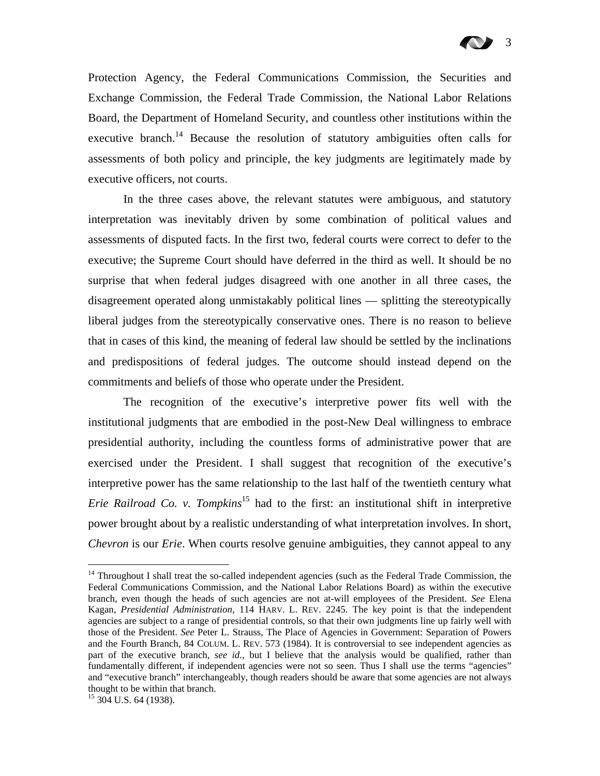Protection Agency, the Federal Communications Commission, the Securities and Exchange Commission, the Federal Trade Commission, the National Labor Relations Board, the Department of Homeland Security, and countless other institutions within the executive branch.<sup>14</sup> Because the resolution of statutory ambiguities often calls for assessments of both policy and principle, the key judgments are legitimately made by executive officers, not courts.

In the three cases above, the relevant statutes were ambiguous, and statutory interpretation was inevitably driven by some combination of political values and assessments of disputed facts. In the first two, federal courts were correct to defer to the executive; the Supreme Court should have deferred in the third as well. It should be no surprise that when federal judges disagreed with one another in all three cases, the disagreement operated along unmistakably political lines — splitting the stereotypically liberal judges from the stereotypically conservative ones. There is no reason to believe that in cases of this kind, the meaning of federal law should be settled by the inclinations and predispositions of federal judges. The outcome should instead depend on the commitments and beliefs of those who operate under the President.

The recognition of the executive's interpretive power fits well with the institutional judgments that are embodied in the post-New Deal willingness to embrace presidential authority, including the countless forms of administrative power that are exercised under the President. I shall suggest that recognition of the executive's interpretive power has the same relationship to the last half of the twentieth century what *Erie Railroad Co. v. Tompkins*<sup>15</sup> had to the first: an institutional shift in interpretive power brought about by a realistic understanding of what interpretation involves. In short, *Chevron* is our *Erie*. When courts resolve genuine ambiguities, they cannot appeal to any

1

<sup>&</sup>lt;sup>14</sup> Throughout I shall treat the so-called independent agencies (such as the Federal Trade Commission, the Federal Communications Commission, and the National Labor Relations Board) as within the executive branch, even though the heads of such agencies are not at-will employees of the President. *See* Elena Kagan, *Presidential Administration*, 114 HARV. L. REV. 2245. The key point is that the independent agencies are subject to a range of presidential controls, so that their own judgments line up fairly well with those of the President. *See* Peter L. Strauss, The Place of Agencies in Government: Separation of Powers and the Fourth Branch, 84 COLUM. L. REV. 573 (1984). It is controversial to see independent agencies as part of the executive branch, *see id.*, but I believe that the analysis would be qualified, rather than fundamentally different, if independent agencies were not so seen. Thus I shall use the terms "agencies" and "executive branch" interchangeably, though readers should be aware that some agencies are not always thought to be within that branch.

<sup>&</sup>lt;sup>15</sup> 304 U.S. 64 (1938).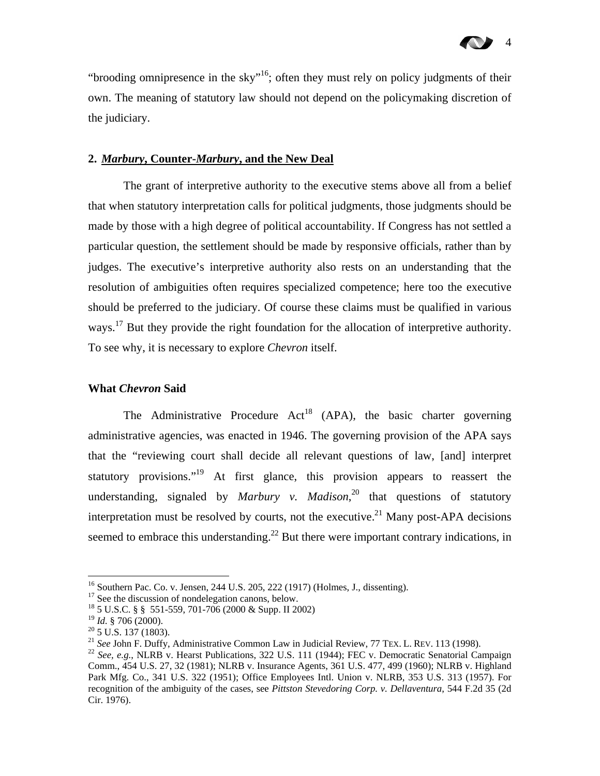"brooding omnipresence in the sky"<sup>16</sup>; often they must rely on policy judgments of their own. The meaning of statutory law should not depend on the policymaking discretion of the judiciary.

#### **2.** *Marbury***, Counter-***Marbury***, and the New Deal**

The grant of interpretive authority to the executive stems above all from a belief that when statutory interpretation calls for political judgments, those judgments should be made by those with a high degree of political accountability. If Congress has not settled a particular question, the settlement should be made by responsive officials, rather than by judges. The executive's interpretive authority also rests on an understanding that the resolution of ambiguities often requires specialized competence; here too the executive should be preferred to the judiciary. Of course these claims must be qualified in various ways.<sup>17</sup> But they provide the right foundation for the allocation of interpretive authority. To see why, it is necessary to explore *Chevron* itself.

#### **What** *Chevron* **Said**

The Administrative Procedure  $Act^{18}$  (APA), the basic charter governing administrative agencies, was enacted in 1946. The governing provision of the APA says that the "reviewing court shall decide all relevant questions of law, [and] interpret statutory provisions."<sup>19</sup> At first glance, this provision appears to reassert the understanding, signaled by *Marbury v. Madison*, 20 that questions of statutory interpretation must be resolved by courts, not the executive.<sup>21</sup> Many post-APA decisions seemed to embrace this understanding.<sup>22</sup> But there were important contrary indications, in

<sup>&</sup>lt;sup>16</sup> Southern Pac. Co. v. Jensen, 244 U.S. 205, 222 (1917) (Holmes, J., dissenting).

<sup>&</sup>lt;sup>17</sup> See the discussion of nondelegation canons, below.

<sup>&</sup>lt;sup>18</sup> 5 U.S.C. § § 551-559, 701-706 (2000 & Supp. II 2002)<br><sup>19</sup> *Id.* § 706 (2000).

<sup>&</sup>lt;sup>20</sup> 5 U.S. 137 (1803).<br><sup>21</sup> *See John F. Duffy, Administrative Common Law in Judicial Review, 77 Tex. L. Rev. 113 (1998).* 

<sup>&</sup>lt;sup>22</sup> See, e.g., NLRB v. Hearst Publications, 322 U.S. 111 (1944); FEC v. Democratic Senatorial Campaign Comm., 454 U.S. 27, 32 (1981); NLRB v. Insurance Agents, 361 U.S. 477, 499 (1960); NLRB v. Highland Park Mfg. Co., 341 U.S. 322 (1951); Office Employees Intl. Union v. NLRB, 353 U.S. 313 (1957). For recognition of the ambiguity of the cases, see *Pittston Stevedoring Corp. v. Dellaventura*, 544 F.2d 35 (2d Cir. 1976).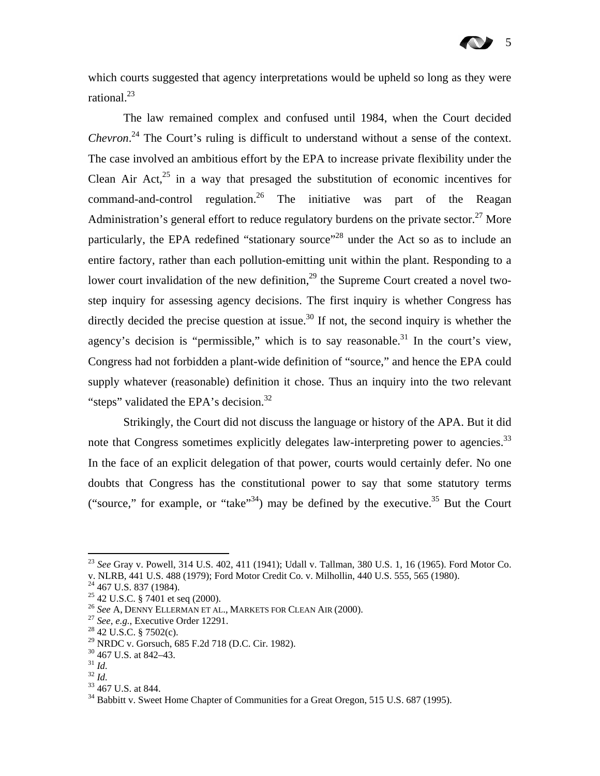## 5

which courts suggested that agency interpretations would be upheld so long as they were rational. $^{23}$ 

The law remained complex and confused until 1984, when the Court decided *Chevron*. 24 The Court's ruling is difficult to understand without a sense of the context. The case involved an ambitious effort by the EPA to increase private flexibility under the Clean Air Act, $^{25}$  in a way that presaged the substitution of economic incentives for command-and-control regulation.<sup>26</sup> The initiative was part of the Reagan Administration's general effort to reduce regulatory burdens on the private sector.<sup>27</sup> More particularly, the EPA redefined "stationary source"<sup>28</sup> under the Act so as to include an entire factory, rather than each pollution-emitting unit within the plant. Responding to a lower court invalidation of the new definition,<sup>29</sup> the Supreme Court created a novel twostep inquiry for assessing agency decisions. The first inquiry is whether Congress has directly decided the precise question at issue.<sup>30</sup> If not, the second inquiry is whether the agency's decision is "permissible," which is to say reasonable.<sup>31</sup> In the court's view, Congress had not forbidden a plant-wide definition of "source," and hence the EPA could supply whatever (reasonable) definition it chose. Thus an inquiry into the two relevant "steps" validated the EPA's decision.<sup>32</sup>

Strikingly, the Court did not discuss the language or history of the APA. But it did note that Congress sometimes explicitly delegates law-interpreting power to agencies.<sup>33</sup> In the face of an explicit delegation of that power, courts would certainly defer. No one doubts that Congress has the constitutional power to say that some statutory terms ("source," for example, or "take"<sup>34</sup>) may be defined by the executive.<sup>35</sup> But the Court

<sup>23</sup> *See* Gray v. Powell, 314 U.S. 402, 411 (1941); Udall v. Tallman, 380 U.S. 1, 16 (1965). Ford Motor Co. v. NLRB, 441 U.S. 488 (1979); Ford Motor Credit Co. v. Milhollin, 440 U.S. 555, 565 (1980).<br><sup>24</sup> 467 U.S. 837 (1984).

<sup>25 42</sup> U.S.C. § 7401 et seq (2000).

<sup>&</sup>lt;sup>26</sup> *See* A, DENNY ELLERMAN ET AL., MARKETS FOR CLEAN AIR (2000).<br><sup>27</sup> *See, e.g.*, Executive Order 12291.<br><sup>28</sup> 42 U.S.C. § 7502(c).

<sup>29</sup> NRDC v. Gorsuch, 685 F.2d 718 (D.C. Cir. 1982).

 $\frac{30}{31}$  467 U.S. at 842–43.

<sup>&</sup>lt;sup>32</sup> *Id.* <sup>33</sup> 467 U.S. at 844.

 $34$  Babbitt v. Sweet Home Chapter of Communities for a Great Oregon, 515 U.S. 687 (1995).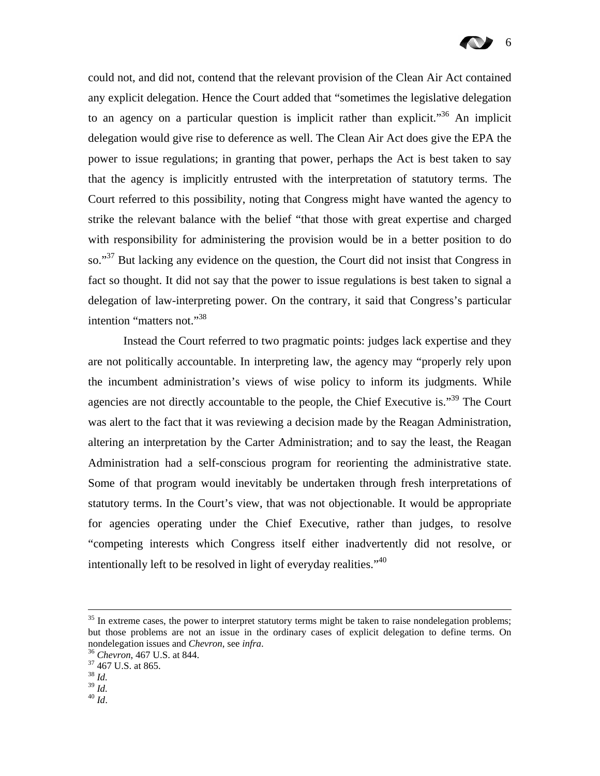

could not, and did not, contend that the relevant provision of the Clean Air Act contained any explicit delegation. Hence the Court added that "sometimes the legislative delegation to an agency on a particular question is implicit rather than explicit.<sup>356</sup> An implicit delegation would give rise to deference as well. The Clean Air Act does give the EPA the power to issue regulations; in granting that power, perhaps the Act is best taken to say that the agency is implicitly entrusted with the interpretation of statutory terms. The Court referred to this possibility, noting that Congress might have wanted the agency to strike the relevant balance with the belief "that those with great expertise and charged with responsibility for administering the provision would be in a better position to do so."<sup>37</sup> But lacking any evidence on the question, the Court did not insist that Congress in fact so thought. It did not say that the power to issue regulations is best taken to signal a delegation of law-interpreting power. On the contrary, it said that Congress's particular intention "matters not."<sup>38</sup>

Instead the Court referred to two pragmatic points: judges lack expertise and they are not politically accountable. In interpreting law, the agency may "properly rely upon the incumbent administration's views of wise policy to inform its judgments. While agencies are not directly accountable to the people, the Chief Executive is.<sup>39</sup> The Court was alert to the fact that it was reviewing a decision made by the Reagan Administration, altering an interpretation by the Carter Administration; and to say the least, the Reagan Administration had a self-conscious program for reorienting the administrative state. Some of that program would inevitably be undertaken through fresh interpretations of statutory terms. In the Court's view, that was not objectionable. It would be appropriate for agencies operating under the Chief Executive, rather than judges, to resolve "competing interests which Congress itself either inadvertently did not resolve, or intentionally left to be resolved in light of everyday realities. $140$ 

- 
- 39 *Id.* 40 *Id*.

 $35$  In extreme cases, the power to interpret statutory terms might be taken to raise nondelegation problems; but those problems are not an issue in the ordinary cases of explicit delegation to define terms. On nondelegation issues and *Chevron*, see *infra*.<br><sup>36</sup> *Chevron*, 467 U.S. at 844.<br><sup>37</sup> 467 U.S. at 865.

<sup>38</sup> *Id.*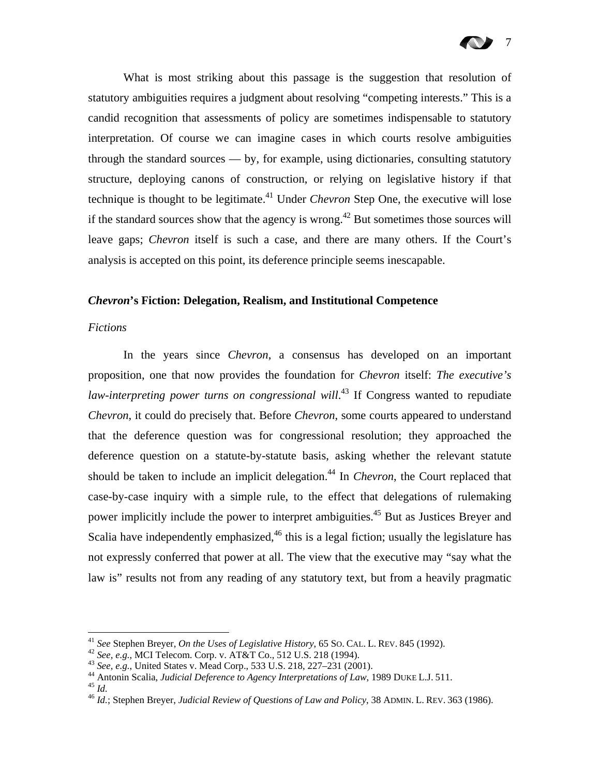

What is most striking about this passage is the suggestion that resolution of statutory ambiguities requires a judgment about resolving "competing interests." This is a candid recognition that assessments of policy are sometimes indispensable to statutory interpretation. Of course we can imagine cases in which courts resolve ambiguities through the standard sources — by, for example, using dictionaries, consulting statutory structure, deploying canons of construction, or relying on legislative history if that technique is thought to be legitimate.<sup>41</sup> Under *Chevron* Step One, the executive will lose if the standard sources show that the agency is wrong.<sup>42</sup> But sometimes those sources will leave gaps; *Chevron* itself is such a case, and there are many others. If the Court's analysis is accepted on this point, its deference principle seems inescapable.

#### *Chevron***'s Fiction: Delegation, Realism, and Institutional Competence**

#### *Fictions*

In the years since *Chevron*, a consensus has developed on an important proposition, one that now provides the foundation for *Chevron* itself: *The executive's*  law-interpreting power turns on congressional will.<sup>43</sup> If Congress wanted to repudiate *Chevron*, it could do precisely that. Before *Chevron*, some courts appeared to understand that the deference question was for congressional resolution; they approached the deference question on a statute-by-statute basis, asking whether the relevant statute should be taken to include an implicit delegation.<sup>44</sup> In *Chevron*, the Court replaced that case-by-case inquiry with a simple rule, to the effect that delegations of rulemaking power implicitly include the power to interpret ambiguities.<sup>45</sup> But as Justices Breyer and Scalia have independently emphasized,  $46$  this is a legal fiction; usually the legislature has not expressly conferred that power at all. The view that the executive may "say what the law is" results not from any reading of any statutory text, but from a heavily pragmatic

<sup>&</sup>lt;sup>41</sup> See Stephen Breyer, *On the Uses of Legislative History*, 65 So. CAL. L. REV. 845 (1992).

<sup>&</sup>lt;sup>42</sup> See, e.g., MCI Telecom. Corp. v. AT&T Co., 512 U.S. 218 (1994).<br><sup>43</sup> See, e.g., United States v. Mead Corp., 533 U.S. 218, 227–231 (2001).<br><sup>44</sup> Antonin Scalia, *Judicial Deference to Agency Interpretations of Law*, 1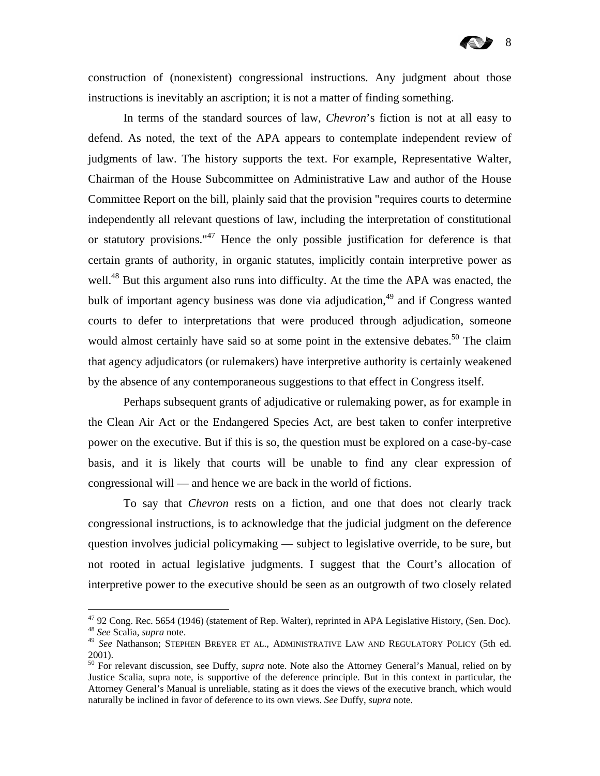construction of (nonexistent) congressional instructions. Any judgment about those instructions is inevitably an ascription; it is not a matter of finding something.

In terms of the standard sources of law, *Chevron*'s fiction is not at all easy to defend. As noted, the text of the APA appears to contemplate independent review of judgments of law. The history supports the text. For example, Representative Walter, Chairman of the House Subcommittee on Administrative Law and author of the House Committee Report on the bill, plainly said that the provision "requires courts to determine independently all relevant questions of law, including the interpretation of constitutional or statutory provisions."<sup>47</sup> Hence the only possible justification for deference is that certain grants of authority, in organic statutes, implicitly contain interpretive power as well.<sup>48</sup> But this argument also runs into difficulty. At the time the APA was enacted, the bulk of important agency business was done via adjudication,<sup>49</sup> and if Congress wanted courts to defer to interpretations that were produced through adjudication, someone would almost certainly have said so at some point in the extensive debates.<sup>50</sup> The claim that agency adjudicators (or rulemakers) have interpretive authority is certainly weakened by the absence of any contemporaneous suggestions to that effect in Congress itself.

Perhaps subsequent grants of adjudicative or rulemaking power, as for example in the Clean Air Act or the Endangered Species Act, are best taken to confer interpretive power on the executive. But if this is so, the question must be explored on a case-by-case basis, and it is likely that courts will be unable to find any clear expression of congressional will — and hence we are back in the world of fictions.

To say that *Chevron* rests on a fiction, and one that does not clearly track congressional instructions, is to acknowledge that the judicial judgment on the deference question involves judicial policymaking — subject to legislative override, to be sure, but not rooted in actual legislative judgments. I suggest that the Court's allocation of interpretive power to the executive should be seen as an outgrowth of two closely related

1

<sup>&</sup>lt;sup>47</sup> 92 Cong. Rec. 5654 (1946) (statement of Rep. Walter), reprinted in APA Legislative History, (Sen. Doc). <sup>48</sup> *See* Scalia, *supra* note.

<sup>49</sup> *See* Nathanson; STEPHEN BREYER ET AL., ADMINISTRATIVE LAW AND REGULATORY POLICY (5th ed. 2001).

<sup>50</sup> For relevant discussion, see Duffy, *supra* note. Note also the Attorney General's Manual, relied on by Justice Scalia, supra note, is supportive of the deference principle. But in this context in particular, the Attorney General's Manual is unreliable, stating as it does the views of the executive branch, which would naturally be inclined in favor of deference to its own views. *See* Duffy, *supra* note.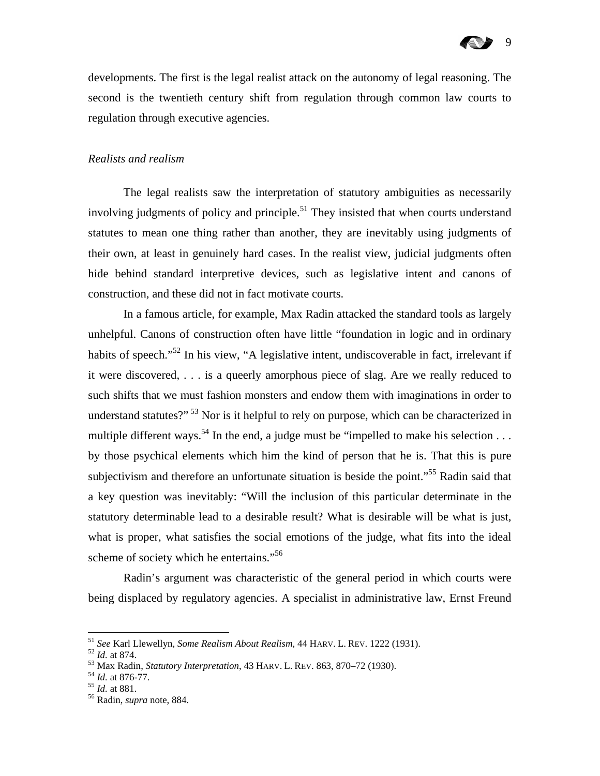developments. The first is the legal realist attack on the autonomy of legal reasoning. The second is the twentieth century shift from regulation through common law courts to regulation through executive agencies.

#### *Realists and realism*

The legal realists saw the interpretation of statutory ambiguities as necessarily involving judgments of policy and principle.<sup>51</sup> They insisted that when courts understand statutes to mean one thing rather than another, they are inevitably using judgments of their own, at least in genuinely hard cases. In the realist view, judicial judgments often hide behind standard interpretive devices, such as legislative intent and canons of construction, and these did not in fact motivate courts.

In a famous article, for example, Max Radin attacked the standard tools as largely unhelpful. Canons of construction often have little "foundation in logic and in ordinary habits of speech."<sup>52</sup> In his view, "A legislative intent, undiscoverable in fact, irrelevant if it were discovered, . . . is a queerly amorphous piece of slag. Are we really reduced to such shifts that we must fashion monsters and endow them with imaginations in order to understand statutes?"<sup>53</sup> Nor is it helpful to rely on purpose, which can be characterized in multiple different ways.<sup>54</sup> In the end, a judge must be "impelled to make his selection . . . by those psychical elements which him the kind of person that he is. That this is pure subjectivism and therefore an unfortunate situation is beside the point."<sup>55</sup> Radin said that a key question was inevitably: "Will the inclusion of this particular determinate in the statutory determinable lead to a desirable result? What is desirable will be what is just, what is proper, what satisfies the social emotions of the judge, what fits into the ideal scheme of society which he entertains."<sup>56</sup>

Radin's argument was characteristic of the general period in which courts were being displaced by regulatory agencies. A specialist in administrative law, Ernst Freund

<sup>&</sup>lt;sup>51</sup> See Karl Llewellyn, Some Realism About Realism, 44 HARV. L. REV. 1222 (1931).

<sup>&</sup>lt;sup>52</sup> *Id.* at 874.<br>
<sup>53</sup> Max Radin, *Statutory Interpretation*, 43 HARV. L. REV. 863, 870–72 (1930).<br>
<sup>54</sup> *Id.* at 876-77.<br>
<sup>55</sup> *Id.* at 881.<br>
<sup>56</sup> Radin, *supra* note, 884.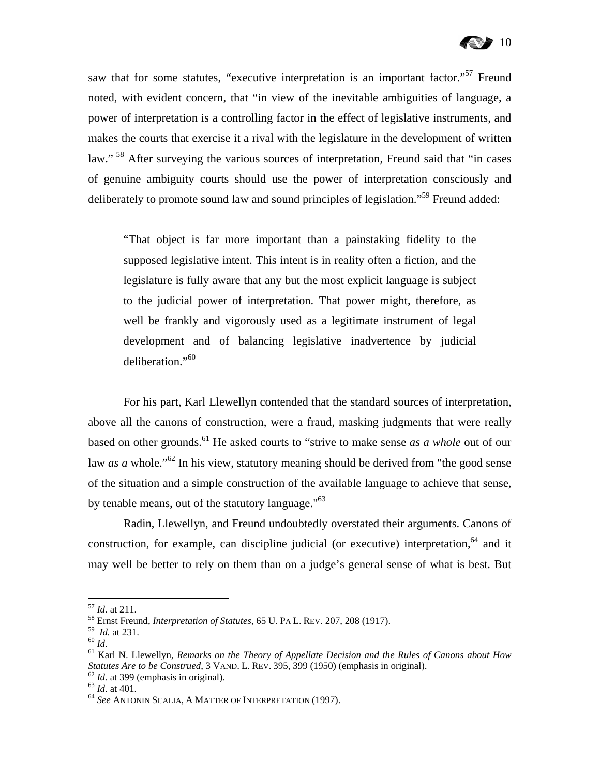saw that for some statutes, "executive interpretation is an important factor."<sup>57</sup> Freund noted, with evident concern, that "in view of the inevitable ambiguities of language, a power of interpretation is a controlling factor in the effect of legislative instruments, and makes the courts that exercise it a rival with the legislature in the development of written law."<sup>58</sup> After surveying the various sources of interpretation, Freund said that "in cases" of genuine ambiguity courts should use the power of interpretation consciously and deliberately to promote sound law and sound principles of legislation."<sup>59</sup> Freund added:

"That object is far more important than a painstaking fidelity to the supposed legislative intent. This intent is in reality often a fiction, and the legislature is fully aware that any but the most explicit language is subject to the judicial power of interpretation. That power might, therefore, as well be frankly and vigorously used as a legitimate instrument of legal development and of balancing legislative inadvertence by judicial deliberation."60

For his part, Karl Llewellyn contended that the standard sources of interpretation, above all the canons of construction, were a fraud, masking judgments that were really based on other grounds.<sup>61</sup> He asked courts to "strive to make sense *as a whole* out of our law *as a* whole."<sup>62</sup> In his view, statutory meaning should be derived from "the good sense" of the situation and a simple construction of the available language to achieve that sense, by tenable means, out of the statutory language."<sup>63</sup>

Radin, Llewellyn, and Freund undoubtedly overstated their arguments. Canons of construction, for example, can discipline judicial (or executive) interpretation,<sup>64</sup> and it may well be better to rely on them than on a judge's general sense of what is best. But

<sup>57</sup> *Id.* at 211. 58 Ernst Freund, *Interpretation of Statutes*, 65 U. PA L. REV. 207, 208 (1917).

<sup>&</sup>lt;sup>60</sup> *Id.* 61 *Id.* 61 *Id.* 61 *Id.* 61 *Id.* 61 *Ileraly on the Theory of Appellate Decision and the Rules of Canons about How 61 Karl N. Llewellyn, Remarks on the Theory of Appellate Decision and the Rules of Canon Statutes Are to be Construed*, 3 VAND. L. REV. 395, 399 (1950) (emphasis in original).<br><sup>62</sup> *Id.* at 399 (emphasis in original).<br><sup>63</sup> *Id.* at 401.<br><sup>64</sup> *See* ANTONIN SCALIA, A MATTER OF INTERPRETATION (1997).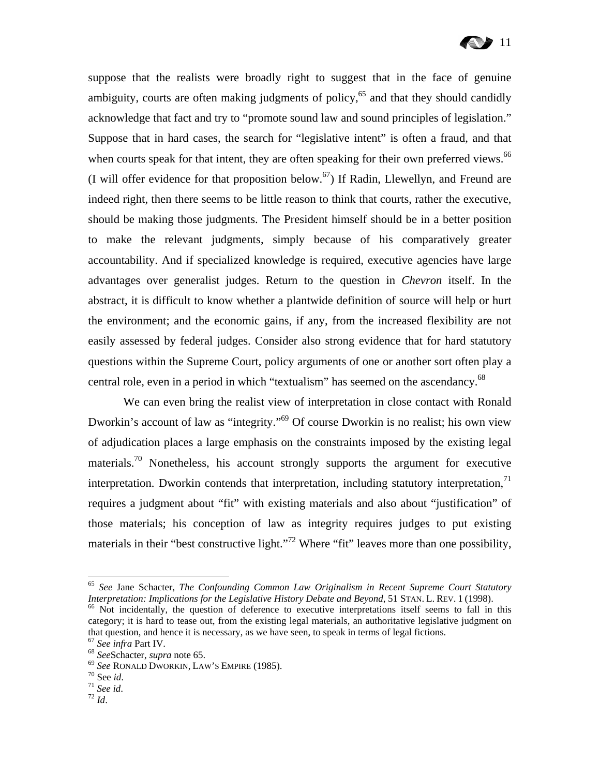

suppose that the realists were broadly right to suggest that in the face of genuine ambiguity, courts are often making judgments of policy,  $65$  and that they should candidly acknowledge that fact and try to "promote sound law and sound principles of legislation." Suppose that in hard cases, the search for "legislative intent" is often a fraud, and that when courts speak for that intent, they are often speaking for their own preferred views.<sup>66</sup> (I will offer evidence for that proposition below.<sup>67</sup>) If Radin, Llewellyn, and Freund are indeed right, then there seems to be little reason to think that courts, rather the executive, should be making those judgments. The President himself should be in a better position to make the relevant judgments, simply because of his comparatively greater accountability. And if specialized knowledge is required, executive agencies have large advantages over generalist judges. Return to the question in *Chevron* itself. In the abstract, it is difficult to know whether a plantwide definition of source will help or hurt the environment; and the economic gains, if any, from the increased flexibility are not easily assessed by federal judges. Consider also strong evidence that for hard statutory questions within the Supreme Court, policy arguments of one or another sort often play a central role, even in a period in which "textualism" has seemed on the ascendancy.<sup>68</sup>

We can even bring the realist view of interpretation in close contact with Ronald Dworkin's account of law as "integrity."69 Of course Dworkin is no realist; his own view of adjudication places a large emphasis on the constraints imposed by the existing legal materials.<sup>70</sup> Nonetheless, his account strongly supports the argument for executive interpretation. Dworkin contends that interpretation, including statutory interpretation, $71$ requires a judgment about "fit" with existing materials and also about "justification" of those materials; his conception of law as integrity requires judges to put existing materials in their "best constructive light."<sup>72</sup> Where "fit" leaves more than one possibility,

<sup>&</sup>lt;sup>65</sup> See Jane Schacter, *The Confounding Common Law Originalism in Recent Supreme Court Statutory*<br>Interpretation: Implications for the Legislative History Debate and Beyond, 51 STAN. L. REV. 1 (1998).

<sup>&</sup>lt;sup>66</sup> Not incidentally, the question of deference to executive interpretations itself seems to fall in this category; it is hard to tease out, from the existing legal materials, an authoritative legislative judgment on that question, and hence it is necessary, as we have seen, to speak in terms of legal fictions.<br>
<sup>67</sup> See infra Part IV.<br>
<sup>68</sup> SeeSchacter, *supra* note 65.<br>
<sup>69</sup> See RONALD DWORKIN, LAW'S EMPIRE (1985).<br>
<sup>70</sup> See id.<br>
<sup>7</sup>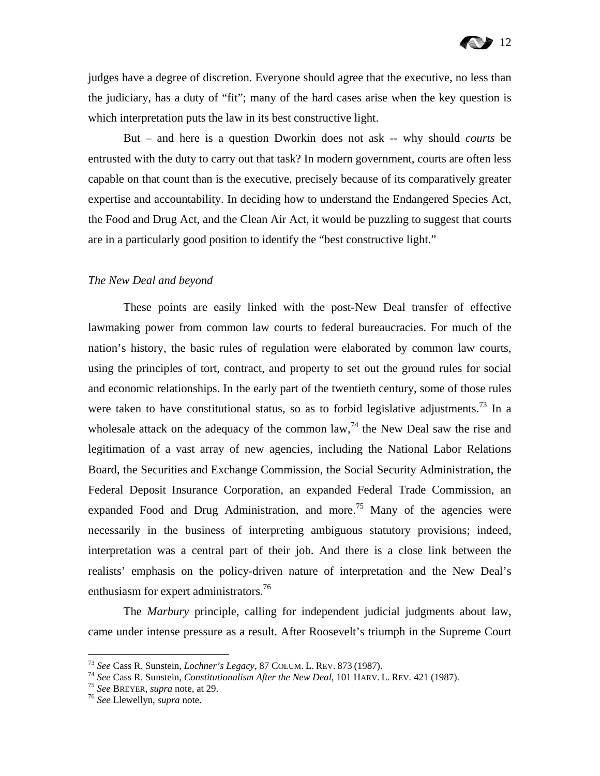judges have a degree of discretion. Everyone should agree that the executive, no less than the judiciary, has a duty of "fit"; many of the hard cases arise when the key question is which interpretation puts the law in its best constructive light.

But – and here is a question Dworkin does not ask -- why should *courts* be entrusted with the duty to carry out that task? In modern government, courts are often less capable on that count than is the executive, precisely because of its comparatively greater expertise and accountability. In deciding how to understand the Endangered Species Act, the Food and Drug Act, and the Clean Air Act, it would be puzzling to suggest that courts are in a particularly good position to identify the "best constructive light."

#### *The New Deal and beyond*

These points are easily linked with the post-New Deal transfer of effective lawmaking power from common law courts to federal bureaucracies. For much of the nation's history, the basic rules of regulation were elaborated by common law courts, using the principles of tort, contract, and property to set out the ground rules for social and economic relationships. In the early part of the twentieth century, some of those rules were taken to have constitutional status, so as to forbid legislative adjustments.<sup>73</sup> In a wholesale attack on the adequacy of the common law,  $^{74}$  the New Deal saw the rise and legitimation of a vast array of new agencies, including the National Labor Relations Board, the Securities and Exchange Commission, the Social Security Administration, the Federal Deposit Insurance Corporation, an expanded Federal Trade Commission, an expanded Food and Drug Administration, and more.<sup>75</sup> Many of the agencies were necessarily in the business of interpreting ambiguous statutory provisions; indeed, interpretation was a central part of their job. And there is a close link between the realists' emphasis on the policy-driven nature of interpretation and the New Deal's enthusiasm for expert administrators.<sup>76</sup>

The *Marbury* principle, calling for independent judicial judgments about law, came under intense pressure as a result. After Roosevelt's triumph in the Supreme Court

<sup>&</sup>lt;sup>73</sup> See Cass R. Sunstein, *Lochner's Legacy*, 87 COLUM. L. REV. 873 (1987).<br><sup>74</sup> See Cass R. Sunstein, *Constitutionalism After the New Deal*, 101 HARV. L. REV. 421 (1987).<br><sup>75</sup> See BREYER, *supra* note, at 29.<br><sup>76</sup> See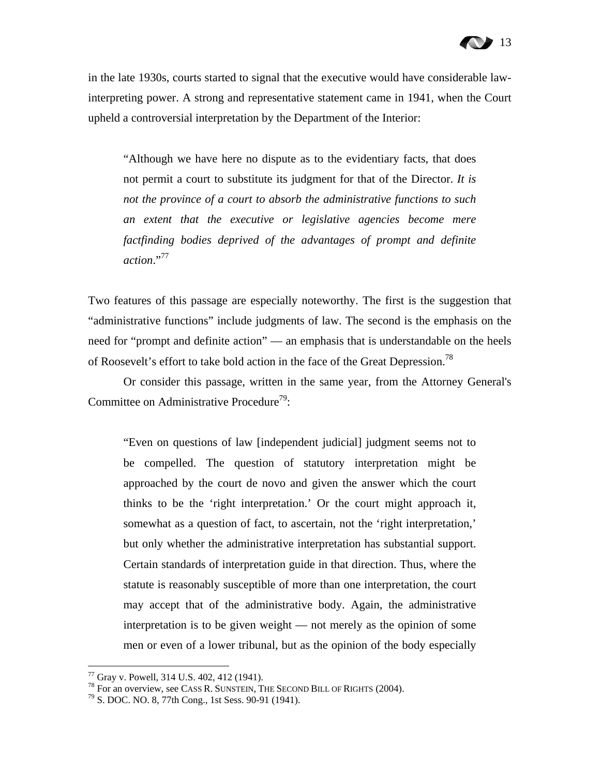## 13

in the late 1930s, courts started to signal that the executive would have considerable lawinterpreting power. A strong and representative statement came in 1941, when the Court upheld a controversial interpretation by the Department of the Interior:

"Although we have here no dispute as to the evidentiary facts, that does not permit a court to substitute its judgment for that of the Director. *It is not the province of a court to absorb the administrative functions to such an extent that the executive or legislative agencies become mere factfinding bodies deprived of the advantages of prompt and definite action*."77

Two features of this passage are especially noteworthy. The first is the suggestion that "administrative functions" include judgments of law. The second is the emphasis on the need for "prompt and definite action" — an emphasis that is understandable on the heels of Roosevelt's effort to take bold action in the face of the Great Depression.<sup>78</sup>

Or consider this passage, written in the same year, from the Attorney General's Committee on Administrative Procedure<sup>79</sup>:

"Even on questions of law [independent judicial] judgment seems not to be compelled. The question of statutory interpretation might be approached by the court de novo and given the answer which the court thinks to be the 'right interpretation.' Or the court might approach it, somewhat as a question of fact, to ascertain, not the 'right interpretation,' but only whether the administrative interpretation has substantial support. Certain standards of interpretation guide in that direction. Thus, where the statute is reasonably susceptible of more than one interpretation, the court may accept that of the administrative body. Again, the administrative interpretation is to be given weight — not merely as the opinion of some men or even of a lower tribunal, but as the opinion of the body especially

1

 $77$  Gray v. Powell, 314 U.S. 402, 412 (1941).

<sup>&</sup>lt;sup>78</sup> For an overview, see CASS R. SUNSTEIN, THE SECOND BILL OF RIGHTS (2004).<br><sup>79</sup> S. DOC. NO. 8, 77th Cong., 1st Sess. 90-91 (1941).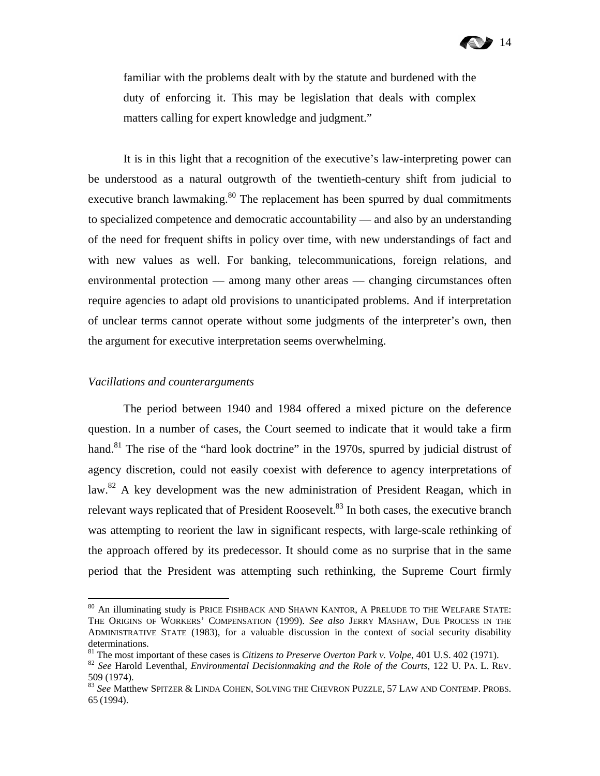

familiar with the problems dealt with by the statute and burdened with the duty of enforcing it. This may be legislation that deals with complex matters calling for expert knowledge and judgment."

It is in this light that a recognition of the executive's law-interpreting power can be understood as a natural outgrowth of the twentieth-century shift from judicial to executive branch lawmaking.<sup>80</sup> The replacement has been spurred by dual commitments to specialized competence and democratic accountability — and also by an understanding of the need for frequent shifts in policy over time, with new understandings of fact and with new values as well. For banking, telecommunications, foreign relations, and environmental protection — among many other areas — changing circumstances often require agencies to adapt old provisions to unanticipated problems. And if interpretation of unclear terms cannot operate without some judgments of the interpreter's own, then the argument for executive interpretation seems overwhelming.

#### *Vacillations and counterarguments*

 $\overline{a}$ 

The period between 1940 and 1984 offered a mixed picture on the deference question. In a number of cases, the Court seemed to indicate that it would take a firm hand.<sup>81</sup> The rise of the "hard look doctrine" in the 1970s, spurred by judicial distrust of agency discretion, could not easily coexist with deference to agency interpretations of law.<sup>82</sup> A key development was the new administration of President Reagan, which in relevant ways replicated that of President Roosevelt.<sup>83</sup> In both cases, the executive branch was attempting to reorient the law in significant respects, with large-scale rethinking of the approach offered by its predecessor. It should come as no surprise that in the same period that the President was attempting such rethinking, the Supreme Court firmly

 $^{80}$  An illuminating study is Price Fishback and Shawn Kantor, A Prelude to the Welfare State: THE ORIGINS OF WORKERS' COMPENSATION (1999). *See also* JERRY MASHAW, DUE PROCESS IN THE ADMINISTRATIVE STATE (1983), for a valuable discussion in the context of social security disability determinations.<br><sup>81</sup> The most important of these cases is *Citizens to Preserve Overton Park v. Volpe*, 401 U.S. 402 (1971).

<sup>&</sup>lt;sup>82</sup> See Harold Leventhal, *Environmental Decisionmaking and the Role of the Courts*, 122 U. PA. L. REV. 509 (1974).

<sup>83</sup> *See* Matthew SPITZER & LINDA COHEN, SOLVING THE CHEVRON PUZZLE, 57 LAW AND CONTEMP. PROBS. 65 (1994).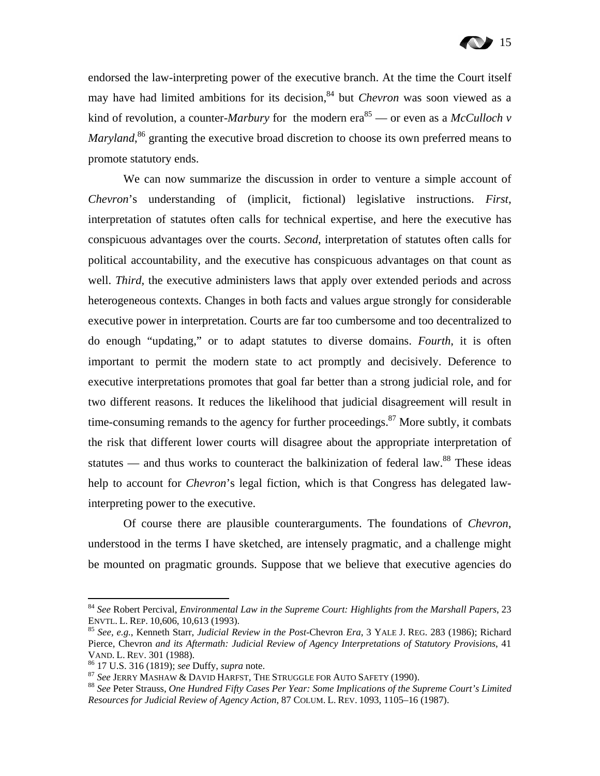

endorsed the law-interpreting power of the executive branch. At the time the Court itself may have had limited ambitions for its decision,<sup>84</sup> but *Chevron* was soon viewed as a kind of revolution, a counter-*Marbury* for the modern era<sup>85</sup> — or even as a *McCulloch v* Maryland,<sup>86</sup> granting the executive broad discretion to choose its own preferred means to promote statutory ends.

We can now summarize the discussion in order to venture a simple account of *Chevron*'s understanding of (implicit, fictional) legislative instructions. *First*, interpretation of statutes often calls for technical expertise, and here the executive has conspicuous advantages over the courts. *Second*, interpretation of statutes often calls for political accountability, and the executive has conspicuous advantages on that count as well. *Third*, the executive administers laws that apply over extended periods and across heterogeneous contexts. Changes in both facts and values argue strongly for considerable executive power in interpretation. Courts are far too cumbersome and too decentralized to do enough "updating," or to adapt statutes to diverse domains. *Fourth*, it is often important to permit the modern state to act promptly and decisively. Deference to executive interpretations promotes that goal far better than a strong judicial role, and for two different reasons. It reduces the likelihood that judicial disagreement will result in time-consuming remands to the agency for further proceedings. $87$  More subtly, it combats the risk that different lower courts will disagree about the appropriate interpretation of statutes — and thus works to counteract the balkinization of federal law. $88$  These ideas help to account for *Chevron*'s legal fiction, which is that Congress has delegated lawinterpreting power to the executive.

Of course there are plausible counterarguments. The foundations of *Chevron*, understood in the terms I have sketched, are intensely pragmatic, and a challenge might be mounted on pragmatic grounds. Suppose that we believe that executive agencies do

1

<sup>84</sup> *See* Robert Percival, *Environmental Law in the Supreme Court: Highlights from the Marshall Papers*, 23 ENVTL. L. REP. 10,606, 10,613 (1993). 85 *See, e.g.*, Kenneth Starr, *Judicial Review in the Post-*Chevron *Era*, 3 YALE J. REG. 283 (1986); Richard

Pierce, Chevron *and its Aftermath: Judicial Review of Agency Interpretations of Statutory Provisions*, 41 VAND. L. REV. 301 (1988).<br><sup>86</sup> 17 U.S. 316 (1819); *see Duffy, supra* note.<br><sup>87</sup> See JERRY MASHAW & DAVID HARFST, THE STRUGGLE FOR AUTO SAFETY (1990).<br><sup>88</sup> See Peter Strauss, *One Hundred Fifty Cases Per Year: Some Implica* 

*Resources for Judicial Review of Agency Action*, 87 COLUM. L. REV. 1093, 1105–16 (1987).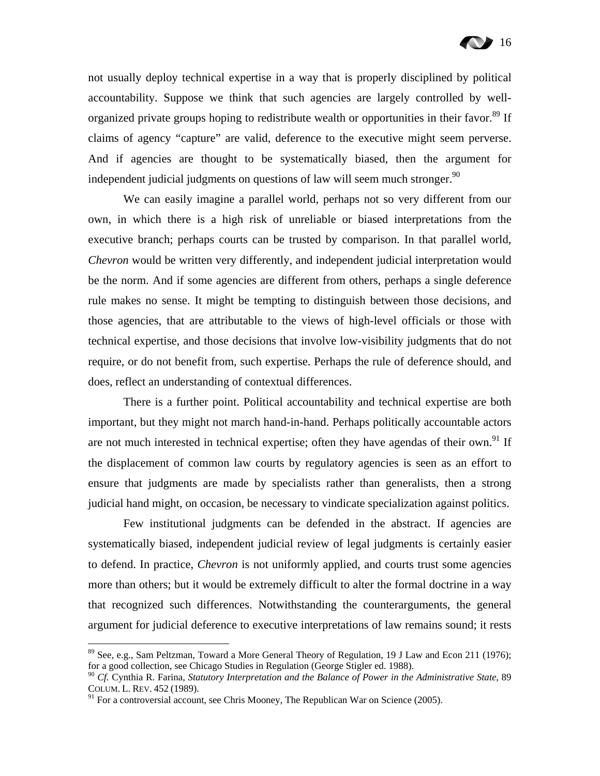not usually deploy technical expertise in a way that is properly disciplined by political accountability. Suppose we think that such agencies are largely controlled by wellorganized private groups hoping to redistribute wealth or opportunities in their favor.<sup>89</sup> If claims of agency "capture" are valid, deference to the executive might seem perverse. And if agencies are thought to be systematically biased, then the argument for independent judicial judgments on questions of law will seem much stronger.<sup>90</sup>

We can easily imagine a parallel world, perhaps not so very different from our own, in which there is a high risk of unreliable or biased interpretations from the executive branch; perhaps courts can be trusted by comparison. In that parallel world, *Chevron* would be written very differently, and independent judicial interpretation would be the norm. And if some agencies are different from others, perhaps a single deference rule makes no sense. It might be tempting to distinguish between those decisions, and those agencies, that are attributable to the views of high-level officials or those with technical expertise, and those decisions that involve low-visibility judgments that do not require, or do not benefit from, such expertise. Perhaps the rule of deference should, and does, reflect an understanding of contextual differences.

There is a further point. Political accountability and technical expertise are both important, but they might not march hand-in-hand. Perhaps politically accountable actors are not much interested in technical expertise; often they have agendas of their own.<sup>91</sup> If the displacement of common law courts by regulatory agencies is seen as an effort to ensure that judgments are made by specialists rather than generalists, then a strong judicial hand might, on occasion, be necessary to vindicate specialization against politics.

Few institutional judgments can be defended in the abstract. If agencies are systematically biased, independent judicial review of legal judgments is certainly easier to defend. In practice, *Chevron* is not uniformly applied, and courts trust some agencies more than others; but it would be extremely difficult to alter the formal doctrine in a way that recognized such differences. Notwithstanding the counterarguments, the general argument for judicial deference to executive interpretations of law remains sound; it rests

<sup>89</sup> See, e.g., Sam Peltzman, Toward a More General Theory of Regulation, 19 J Law and Econ 211 (1976); for a good collection, see Chicago Studies in Regulation (George Stigler ed. 1988).

<sup>90</sup> *Cf.* Cynthia R. Farina, *Statutory Interpretation and the Balance of Power in the Administrative State*, 89 COLUM. L. REV. 452 (1989).

 $91$  For a controversial account, see Chris Mooney, The Republican War on Science (2005).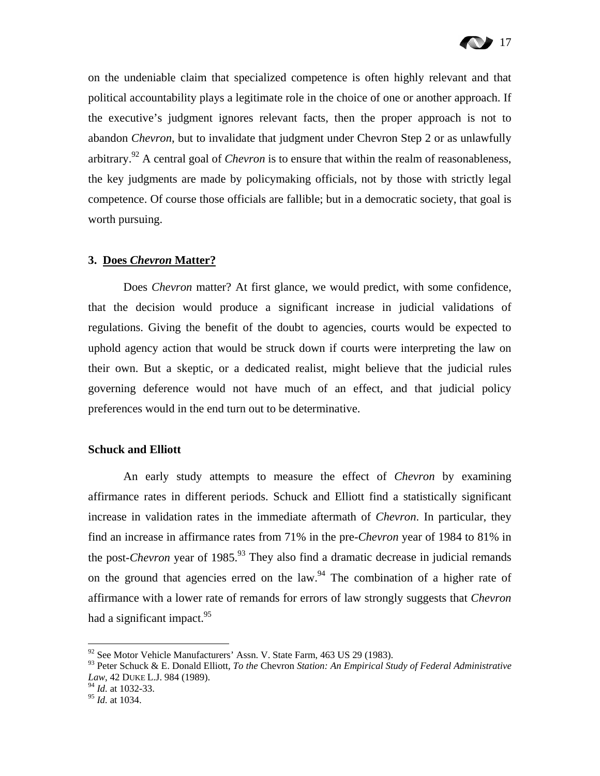

on the undeniable claim that specialized competence is often highly relevant and that political accountability plays a legitimate role in the choice of one or another approach. If the executive's judgment ignores relevant facts, then the proper approach is not to abandon *Chevron*, but to invalidate that judgment under Chevron Step 2 or as unlawfully arbitrary.92 A central goal of *Chevron* is to ensure that within the realm of reasonableness, the key judgments are made by policymaking officials, not by those with strictly legal competence. Of course those officials are fallible; but in a democratic society, that goal is worth pursuing.

#### **3. Does** *Chevron* **Matter?**

Does *Chevron* matter? At first glance, we would predict, with some confidence, that the decision would produce a significant increase in judicial validations of regulations. Giving the benefit of the doubt to agencies, courts would be expected to uphold agency action that would be struck down if courts were interpreting the law on their own. But a skeptic, or a dedicated realist, might believe that the judicial rules governing deference would not have much of an effect, and that judicial policy preferences would in the end turn out to be determinative.

#### **Schuck and Elliott**

An early study attempts to measure the effect of *Chevron* by examining affirmance rates in different periods. Schuck and Elliott find a statistically significant increase in validation rates in the immediate aftermath of *Chevron*. In particular, they find an increase in affirmance rates from 71% in the pre-*Chevron* year of 1984 to 81% in the post-*Chevron* year of  $1985$ .<sup>93</sup> They also find a dramatic decrease in judicial remands on the ground that agencies erred on the law.<sup>94</sup> The combination of a higher rate of affirmance with a lower rate of remands for errors of law strongly suggests that *Chevron* had a significant impact. $95$ 

 $92$  See Motor Vehicle Manufacturers' Assn. V. State Farm, 463 US 29 (1983).

<sup>93</sup> Peter Schuck & E. Donald Elliott, *To the* Chevron *Station: An Empirical Study of Federal Administrative Law*, 42 DUKE L.J. 984 (1989).

<sup>94</sup> *Id.* at 1032-33.

<sup>95</sup> *Id.* at 1034.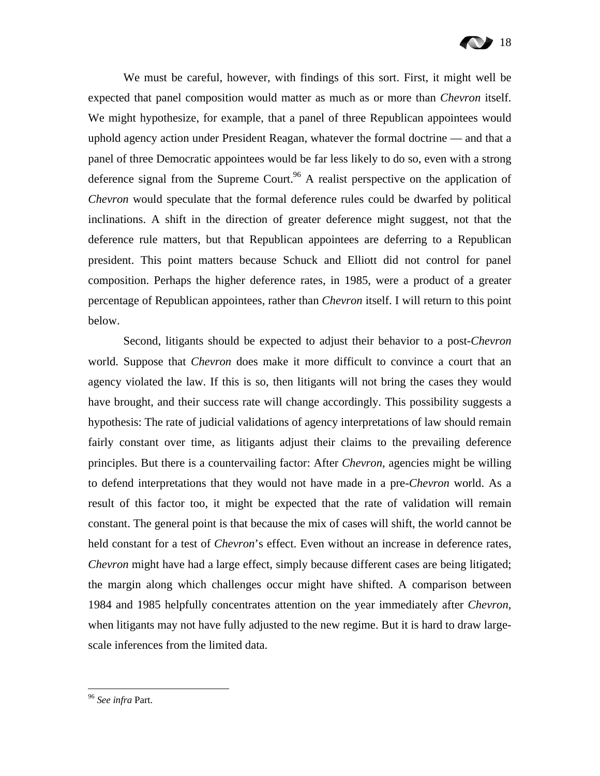

We must be careful, however, with findings of this sort. First, it might well be expected that panel composition would matter as much as or more than *Chevron* itself. We might hypothesize, for example, that a panel of three Republican appointees would uphold agency action under President Reagan, whatever the formal doctrine — and that a panel of three Democratic appointees would be far less likely to do so, even with a strong deference signal from the Supreme Court.<sup>96</sup> A realist perspective on the application of *Chevron* would speculate that the formal deference rules could be dwarfed by political inclinations. A shift in the direction of greater deference might suggest, not that the deference rule matters, but that Republican appointees are deferring to a Republican president. This point matters because Schuck and Elliott did not control for panel composition. Perhaps the higher deference rates, in 1985, were a product of a greater percentage of Republican appointees, rather than *Chevron* itself. I will return to this point below.

Second, litigants should be expected to adjust their behavior to a post-*Chevron* world. Suppose that *Chevron* does make it more difficult to convince a court that an agency violated the law. If this is so, then litigants will not bring the cases they would have brought, and their success rate will change accordingly. This possibility suggests a hypothesis: The rate of judicial validations of agency interpretations of law should remain fairly constant over time, as litigants adjust their claims to the prevailing deference principles. But there is a countervailing factor: After *Chevron*, agencies might be willing to defend interpretations that they would not have made in a pre-*Chevron* world. As a result of this factor too, it might be expected that the rate of validation will remain constant. The general point is that because the mix of cases will shift, the world cannot be held constant for a test of *Chevron*'s effect. Even without an increase in deference rates, *Chevron* might have had a large effect, simply because different cases are being litigated; the margin along which challenges occur might have shifted. A comparison between 1984 and 1985 helpfully concentrates attention on the year immediately after *Chevron*, when litigants may not have fully adjusted to the new regime. But it is hard to draw largescale inferences from the limited data.

<sup>96</sup> *See infra* Part.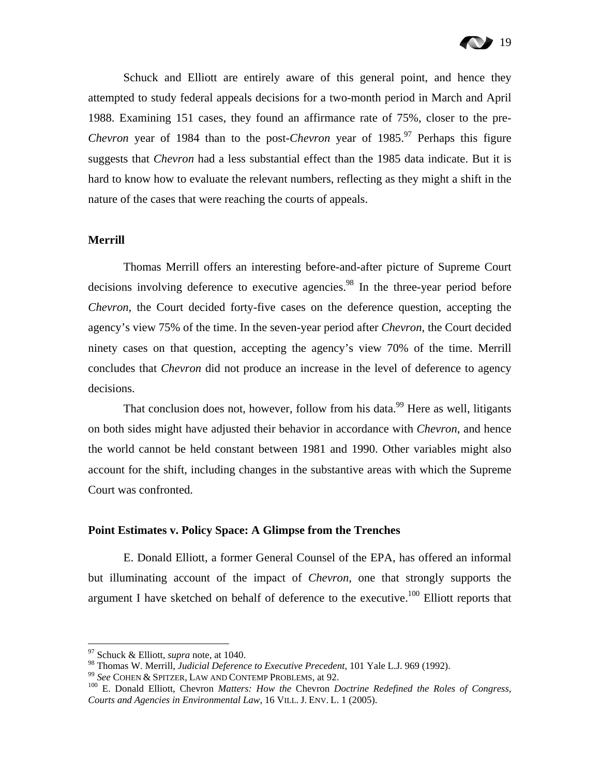

Schuck and Elliott are entirely aware of this general point, and hence they attempted to study federal appeals decisions for a two-month period in March and April 1988. Examining 151 cases, they found an affirmance rate of 75%, closer to the pre-*Chevron* year of 1984 than to the post-*Chevron* year of 1985.<sup>97</sup> Perhaps this figure suggests that *Chevron* had a less substantial effect than the 1985 data indicate. But it is hard to know how to evaluate the relevant numbers, reflecting as they might a shift in the nature of the cases that were reaching the courts of appeals.

#### **Merrill**

Thomas Merrill offers an interesting before-and-after picture of Supreme Court decisions involving deference to executive agencies.<sup>98</sup> In the three-year period before *Chevron*, the Court decided forty-five cases on the deference question, accepting the agency's view 75% of the time. In the seven-year period after *Chevron*, the Court decided ninety cases on that question, accepting the agency's view 70% of the time. Merrill concludes that *Chevron* did not produce an increase in the level of deference to agency decisions.

That conclusion does not, however, follow from his data.<sup>99</sup> Here as well, litigants on both sides might have adjusted their behavior in accordance with *Chevron*, and hence the world cannot be held constant between 1981 and 1990. Other variables might also account for the shift, including changes in the substantive areas with which the Supreme Court was confronted.

#### **Point Estimates v. Policy Space: A Glimpse from the Trenches**

E. Donald Elliott, a former General Counsel of the EPA, has offered an informal but illuminating account of the impact of *Chevron*, one that strongly supports the argument I have sketched on behalf of deference to the executive.<sup>100</sup> Elliott reports that

<sup>&</sup>lt;sup>97</sup> Schuck & Elliott, *supra* note, at 1040.<br><sup>98</sup> Thomas W. Merrill, *Judicial Deference to Executive Precedent*, 101 Yale L.J. 969 (1992).

<sup>&</sup>lt;sup>99</sup> See COHEN & SPITZER, LAW AND CONTEMP PROBLEMS, at 92.<br><sup>100</sup> E. Donald Elliott, Chevron *Matters: How the* Chevron *Doctrine Redefined the Roles of Congress*, *Courts and Agencies in Environmental Law*, 16 VILL. J. ENV. L. 1 (2005).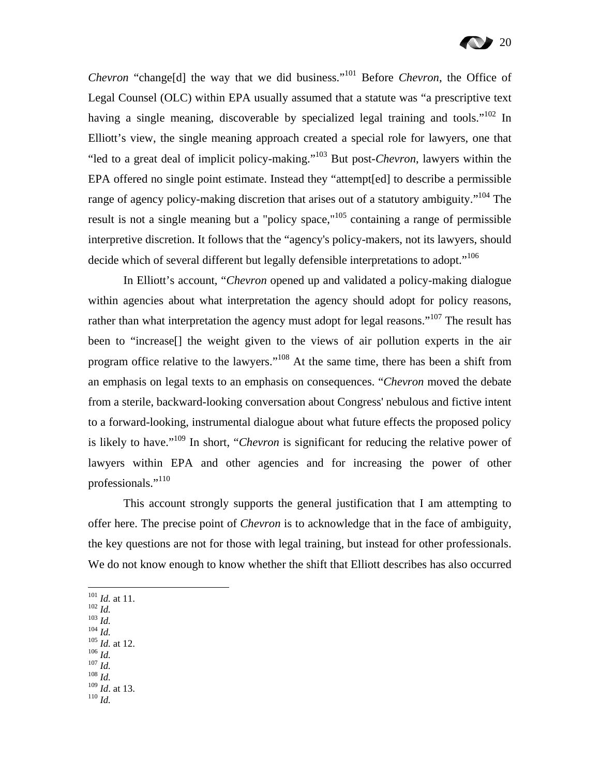*Chevron* "change[d] the way that we did business."<sup>101</sup> Before *Chevron*, the Office of Legal Counsel (OLC) within EPA usually assumed that a statute was "a prescriptive text having a single meaning, discoverable by specialized legal training and tools."<sup>102</sup> In Elliott's view, the single meaning approach created a special role for lawyers, one that "led to a great deal of implicit policy-making."103 But post-*Chevron*, lawyers within the EPA offered no single point estimate. Instead they "attempt[ed] to describe a permissible range of agency policy-making discretion that arises out of a statutory ambiguity."<sup>104</sup> The result is not a single meaning but a "policy space,"<sup>105</sup> containing a range of permissible interpretive discretion. It follows that the "agency's policy-makers, not its lawyers, should decide which of several different but legally defensible interpretations to adopt."<sup>106</sup>

In Elliott's account, "*Chevron* opened up and validated a policy-making dialogue within agencies about what interpretation the agency should adopt for policy reasons, rather than what interpretation the agency must adopt for legal reasons."<sup>107</sup> The result has been to "increase[] the weight given to the views of air pollution experts in the air program office relative to the lawyers."108 At the same time, there has been a shift from an emphasis on legal texts to an emphasis on consequences. "*Chevron* moved the debate from a sterile, backward-looking conversation about Congress' nebulous and fictive intent to a forward-looking, instrumental dialogue about what future effects the proposed policy is likely to have."109 In short, "*Chevron* is significant for reducing the relative power of lawyers within EPA and other agencies and for increasing the power of other professionals."<sup>110</sup>

This account strongly supports the general justification that I am attempting to offer here. The precise point of *Chevron* is to acknowledge that in the face of ambiguity, the key questions are not for those with legal training, but instead for other professionals. We do not know enough to know whether the shift that Elliott describes has also occurred

- $101$  *Id.* at 11.
- 
- 
- 102 *Id.* at 11.<br>
102 *Id.*<br>
104 *Id.*<br>
<sup>105</sup> *Id.* at 12.<br>
<sup>106</sup> *Id.* 107 *Id.*<br>
<sup>107</sup> *Id.* 108 *Id.*
- 
- 
- 
- <sup>109</sup> *Id*. at 13. 110 *Id.*
-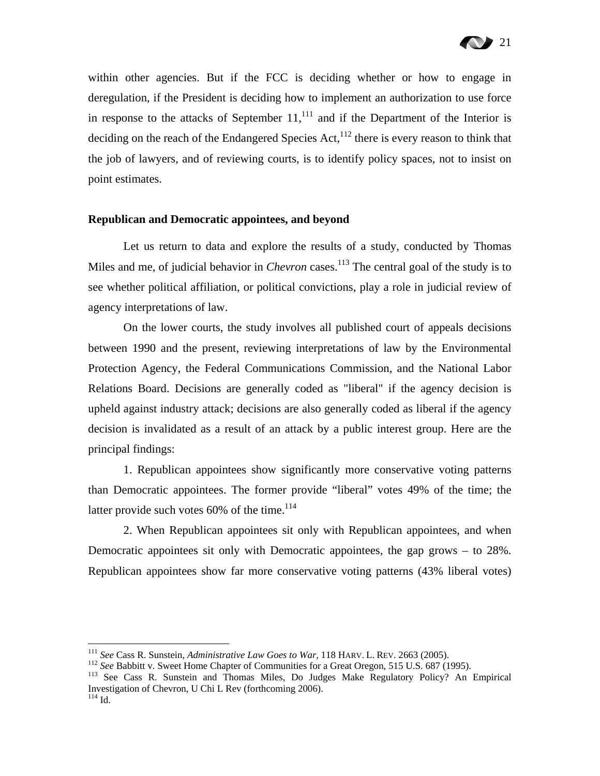within other agencies. But if the FCC is deciding whether or how to engage in deregulation, if the President is deciding how to implement an authorization to use force in response to the attacks of September  $11$ ,<sup>111</sup> and if the Department of the Interior is deciding on the reach of the Endangered Species Act, $^{112}$  there is every reason to think that the job of lawyers, and of reviewing courts, is to identify policy spaces, not to insist on point estimates.

#### **Republican and Democratic appointees, and beyond**

Let us return to data and explore the results of a study, conducted by Thomas Miles and me, of judicial behavior in *Chevron* cases.<sup>113</sup> The central goal of the study is to see whether political affiliation, or political convictions, play a role in judicial review of agency interpretations of law.

On the lower courts, the study involves all published court of appeals decisions between 1990 and the present, reviewing interpretations of law by the Environmental Protection Agency, the Federal Communications Commission, and the National Labor Relations Board. Decisions are generally coded as "liberal" if the agency decision is upheld against industry attack; decisions are also generally coded as liberal if the agency decision is invalidated as a result of an attack by a public interest group. Here are the principal findings:

1. Republican appointees show significantly more conservative voting patterns than Democratic appointees. The former provide "liberal" votes 49% of the time; the latter provide such votes  $60\%$  of the time.<sup>114</sup>

2. When Republican appointees sit only with Republican appointees, and when Democratic appointees sit only with Democratic appointees, the gap grows – to 28%. Republican appointees show far more conservative voting patterns (43% liberal votes)

<sup>&</sup>lt;sup>111</sup> See Cass R. Sunstein, Administrative Law Goes to War, 118 HARV. L. REV. 2663 (2005).

<sup>&</sup>lt;sup>112</sup> See Babbitt v. Sweet Home Chapter of Communities for a Great Oregon, 515 U.S. 687 (1995).<br><sup>113</sup> See Cass R. Sunstein and Thomas Miles, Do Judges Make Regulatory Policy? An Empirical Investigation of Chevron, U Chi L Rev (forthcoming 2006).

 $114$  Id.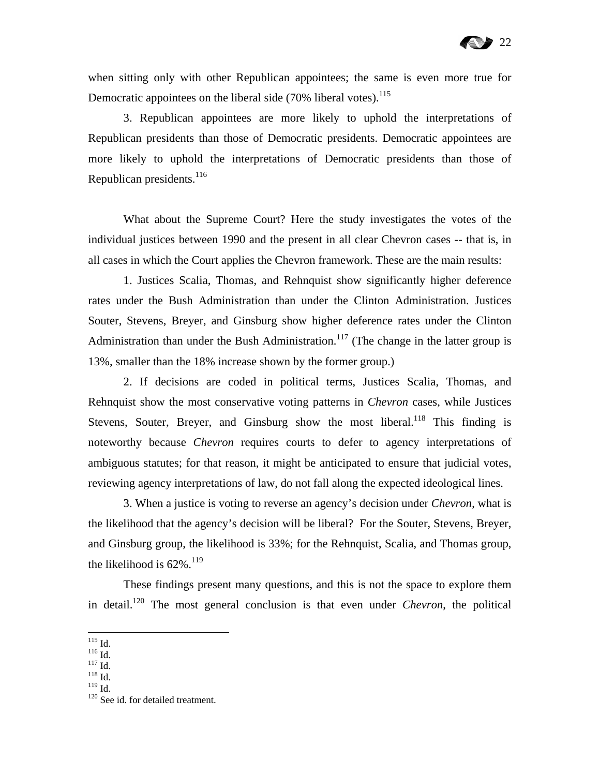when sitting only with other Republican appointees; the same is even more true for Democratic appointees on the liberal side  $(70\%$  liberal votes).<sup>115</sup>

3. Republican appointees are more likely to uphold the interpretations of Republican presidents than those of Democratic presidents. Democratic appointees are more likely to uphold the interpretations of Democratic presidents than those of Republican presidents.<sup>116</sup>

What about the Supreme Court? Here the study investigates the votes of the individual justices between 1990 and the present in all clear Chevron cases -- that is, in all cases in which the Court applies the Chevron framework. These are the main results:

1. Justices Scalia, Thomas, and Rehnquist show significantly higher deference rates under the Bush Administration than under the Clinton Administration. Justices Souter, Stevens, Breyer, and Ginsburg show higher deference rates under the Clinton Administration than under the Bush Administration.<sup>117</sup> (The change in the latter group is 13%, smaller than the 18% increase shown by the former group.)

2. If decisions are coded in political terms, Justices Scalia, Thomas, and Rehnquist show the most conservative voting patterns in *Chevron* cases, while Justices Stevens, Souter, Breyer, and Ginsburg show the most liberal.<sup>118</sup> This finding is noteworthy because *Chevron* requires courts to defer to agency interpretations of ambiguous statutes; for that reason, it might be anticipated to ensure that judicial votes, reviewing agency interpretations of law, do not fall along the expected ideological lines.

3. When a justice is voting to reverse an agency's decision under *Chevron*, what is the likelihood that the agency's decision will be liberal? For the Souter, Stevens, Breyer, and Ginsburg group, the likelihood is 33%; for the Rehnquist, Scalia, and Thomas group, the likelihood is  $62\%$ <sup>119</sup>

These findings present many questions, and this is not the space to explore them in detail.120 The most general conclusion is that even under *Chevron*, the political

 $\frac{1}{115}$  Id.

 $\frac{^{116}}{^{117}}$  Id.<br> $\frac{^{118}}{^{119}}$  Id.<br> $\frac{^{119}}{^{119}}$  Id.

<sup>&</sup>lt;sup>120</sup> See id. for detailed treatment.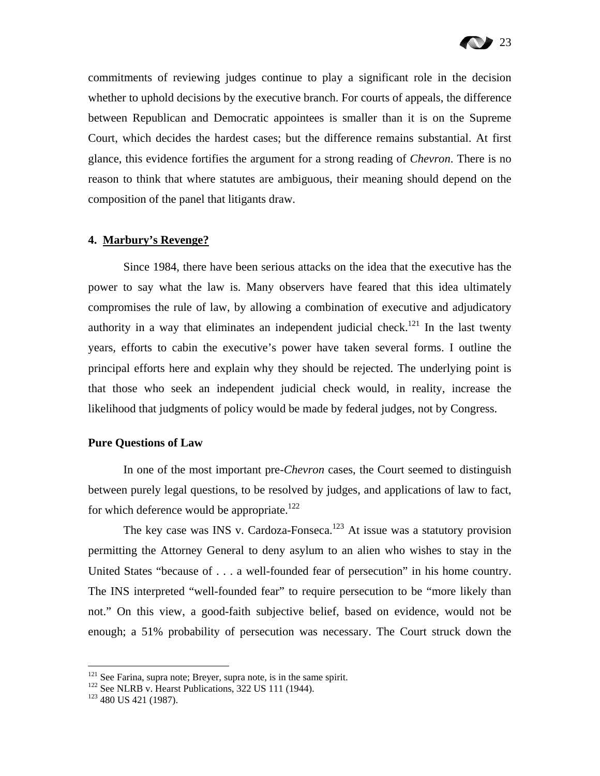

commitments of reviewing judges continue to play a significant role in the decision whether to uphold decisions by the executive branch. For courts of appeals, the difference between Republican and Democratic appointees is smaller than it is on the Supreme Court, which decides the hardest cases; but the difference remains substantial. At first glance, this evidence fortifies the argument for a strong reading of *Chevron*. There is no reason to think that where statutes are ambiguous, their meaning should depend on the composition of the panel that litigants draw.

#### **4. Marbury's Revenge?**

Since 1984, there have been serious attacks on the idea that the executive has the power to say what the law is. Many observers have feared that this idea ultimately compromises the rule of law, by allowing a combination of executive and adjudicatory authority in a way that eliminates an independent judicial check.<sup>121</sup> In the last twenty years, efforts to cabin the executive's power have taken several forms. I outline the principal efforts here and explain why they should be rejected. The underlying point is that those who seek an independent judicial check would, in reality, increase the likelihood that judgments of policy would be made by federal judges, not by Congress.

#### **Pure Questions of Law**

In one of the most important pre-*Chevron* cases, the Court seemed to distinguish between purely legal questions, to be resolved by judges, and applications of law to fact, for which deference would be appropriate.<sup>122</sup>

The key case was INS v. Cardoza-Fonseca.<sup>123</sup> At issue was a statutory provision permitting the Attorney General to deny asylum to an alien who wishes to stay in the United States "because of . . . a well-founded fear of persecution" in his home country. The INS interpreted "well-founded fear" to require persecution to be "more likely than not." On this view, a good-faith subjective belief, based on evidence, would not be enough; a 51% probability of persecution was necessary. The Court struck down the

<sup>&</sup>lt;sup>121</sup> See Farina, supra note; Breyer, supra note, is in the same spirit. <sup>122</sup> See NLRB v. Hearst Publications, 322 US 111 (1944). <sup>123</sup> 480 US 421 (1987).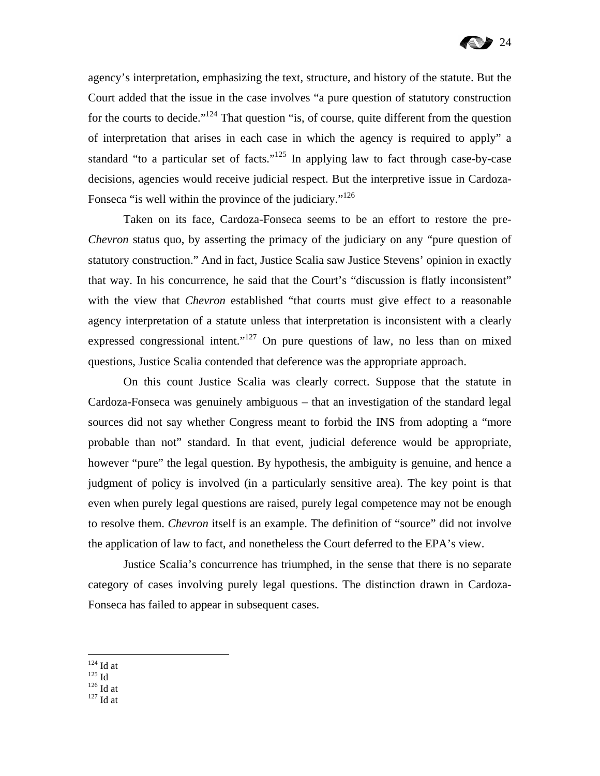agency's interpretation, emphasizing the text, structure, and history of the statute. But the Court added that the issue in the case involves "a pure question of statutory construction for the courts to decide."<sup>124</sup> That question "is, of course, quite different from the question of interpretation that arises in each case in which the agency is required to apply" a standard "to a particular set of facts."<sup>125</sup> In applying law to fact through case-by-case decisions, agencies would receive judicial respect. But the interpretive issue in Cardoza-Fonseca "is well within the province of the judiciary."<sup>126</sup>

Taken on its face, Cardoza-Fonseca seems to be an effort to restore the pre-*Chevron* status quo, by asserting the primacy of the judiciary on any "pure question of statutory construction." And in fact, Justice Scalia saw Justice Stevens' opinion in exactly that way. In his concurrence, he said that the Court's "discussion is flatly inconsistent" with the view that *Chevron* established "that courts must give effect to a reasonable agency interpretation of a statute unless that interpretation is inconsistent with a clearly expressed congressional intent."<sup>127</sup> On pure questions of law, no less than on mixed questions, Justice Scalia contended that deference was the appropriate approach.

On this count Justice Scalia was clearly correct. Suppose that the statute in Cardoza-Fonseca was genuinely ambiguous – that an investigation of the standard legal sources did not say whether Congress meant to forbid the INS from adopting a "more probable than not" standard. In that event, judicial deference would be appropriate, however "pure" the legal question. By hypothesis, the ambiguity is genuine, and hence a judgment of policy is involved (in a particularly sensitive area). The key point is that even when purely legal questions are raised, purely legal competence may not be enough to resolve them. *Chevron* itself is an example. The definition of "source" did not involve the application of law to fact, and nonetheless the Court deferred to the EPA's view.

Justice Scalia's concurrence has triumphed, in the sense that there is no separate category of cases involving purely legal questions. The distinction drawn in Cardoza-Fonseca has failed to appear in subsequent cases.

 $\frac{125}{126}$  Id at  $\frac{126}{127}$  Id at

 $^{124}$  Id at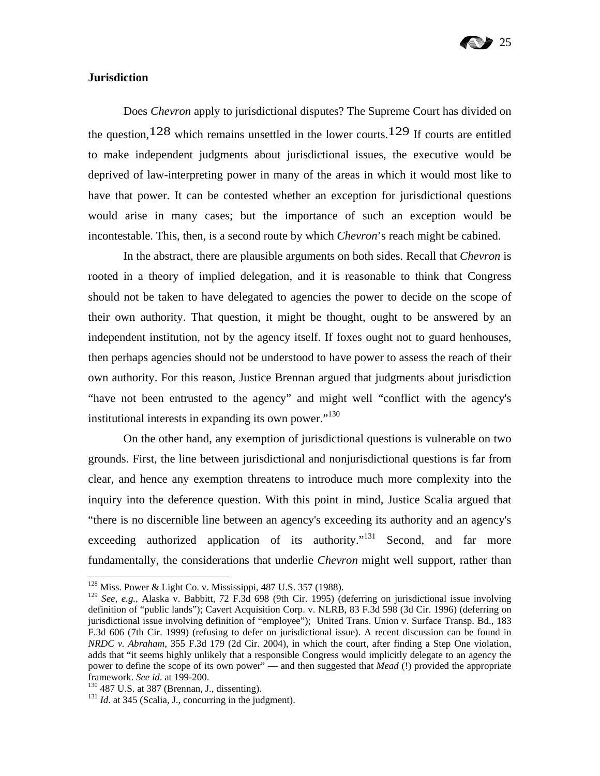

#### **Jurisdiction**

Does *Chevron* apply to jurisdictional disputes? The Supreme Court has divided on the question,  $128$  which remains unsettled in the lower courts.  $129$  If courts are entitled to make independent judgments about jurisdictional issues, the executive would be deprived of law-interpreting power in many of the areas in which it would most like to have that power. It can be contested whether an exception for jurisdictional questions would arise in many cases; but the importance of such an exception would be incontestable. This, then, is a second route by which *Chevron*'s reach might be cabined.

In the abstract, there are plausible arguments on both sides. Recall that *Chevron* is rooted in a theory of implied delegation, and it is reasonable to think that Congress should not be taken to have delegated to agencies the power to decide on the scope of their own authority. That question, it might be thought, ought to be answered by an independent institution, not by the agency itself. If foxes ought not to guard henhouses, then perhaps agencies should not be understood to have power to assess the reach of their own authority. For this reason, Justice Brennan argued that judgments about jurisdiction "have not been entrusted to the agency" and might well "conflict with the agency's institutional interests in expanding its own power. $130$ 

On the other hand, any exemption of jurisdictional questions is vulnerable on two grounds. First, the line between jurisdictional and nonjurisdictional questions is far from clear, and hence any exemption threatens to introduce much more complexity into the inquiry into the deference question. With this point in mind, Justice Scalia argued that "there is no discernible line between an agency's exceeding its authority and an agency's exceeding authorized application of its authority."<sup>131</sup> Second, and far more fundamentally, the considerations that underlie *Chevron* might well support, rather than

<sup>128</sup> Miss. Power & Light Co. v. Mississippi, 487 U.S. 357 (1988).

<sup>129</sup> *See, e.g.*, Alaska v. Babbitt, 72 F.3d 698 (9th Cir. 1995) (deferring on jurisdictional issue involving definition of "public lands"); Cavert Acquisition Corp. v. NLRB, 83 F.3d 598 (3d Cir. 1996) (deferring on jurisdictional issue involving definition of "employee"); United Trans. Union v. Surface Transp. Bd., 183 F.3d 606 (7th Cir. 1999) (refusing to defer on jurisdictional issue). A recent discussion can be found in *NRDC v. Abraham*, 355 F.3d 179 (2d Cir. 2004), in which the court, after finding a Step One violation, adds that "it seems highly unlikely that a responsible Congress would implicitly delegate to an agency the power to define the scope of its own power" — and then suggested that *Mead* (!) provided the appropriate framework. *See id.* at 199-200.<br><sup>130</sup> 487 U.S. at 387 (Brennan, J., dissenting).<br><sup>131</sup> *Id.* at 345 (Scalia, J., concurring in the judgment).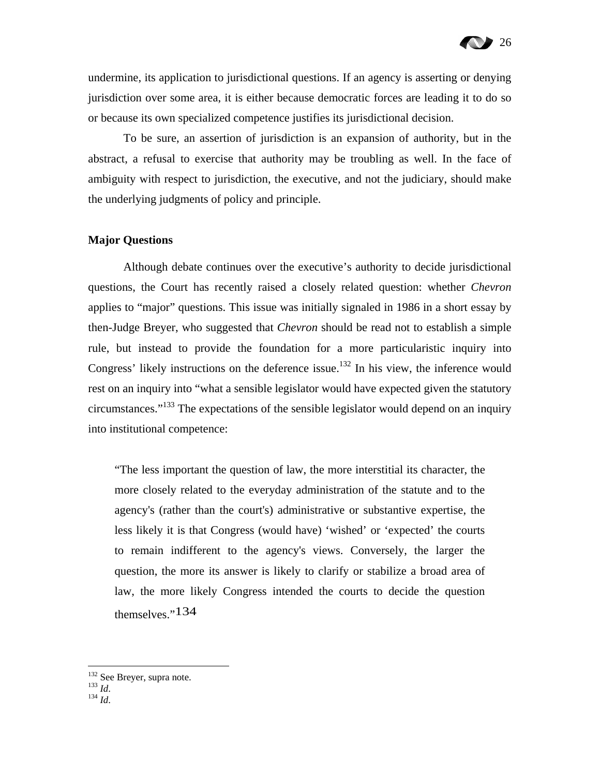undermine, its application to jurisdictional questions. If an agency is asserting or denying jurisdiction over some area, it is either because democratic forces are leading it to do so or because its own specialized competence justifies its jurisdictional decision.

To be sure, an assertion of jurisdiction is an expansion of authority, but in the abstract, a refusal to exercise that authority may be troubling as well. In the face of ambiguity with respect to jurisdiction, the executive, and not the judiciary, should make the underlying judgments of policy and principle.

#### **Major Questions**

Although debate continues over the executive's authority to decide jurisdictional questions, the Court has recently raised a closely related question: whether *Chevron* applies to "major" questions. This issue was initially signaled in 1986 in a short essay by then-Judge Breyer, who suggested that *Chevron* should be read not to establish a simple rule, but instead to provide the foundation for a more particularistic inquiry into Congress' likely instructions on the deference issue.<sup>132</sup> In his view, the inference would rest on an inquiry into "what a sensible legislator would have expected given the statutory circumstances."133 The expectations of the sensible legislator would depend on an inquiry into institutional competence:

"The less important the question of law, the more interstitial its character, the more closely related to the everyday administration of the statute and to the agency's (rather than the court's) administrative or substantive expertise, the less likely it is that Congress (would have) 'wished' or 'expected' the courts to remain indifferent to the agency's views. Conversely, the larger the question, the more its answer is likely to clarify or stabilize a broad area of law, the more likely Congress intended the courts to decide the question themselves."134

<sup>132</sup> See Breyer, supra note. 133 *Id*. 134 *Id*.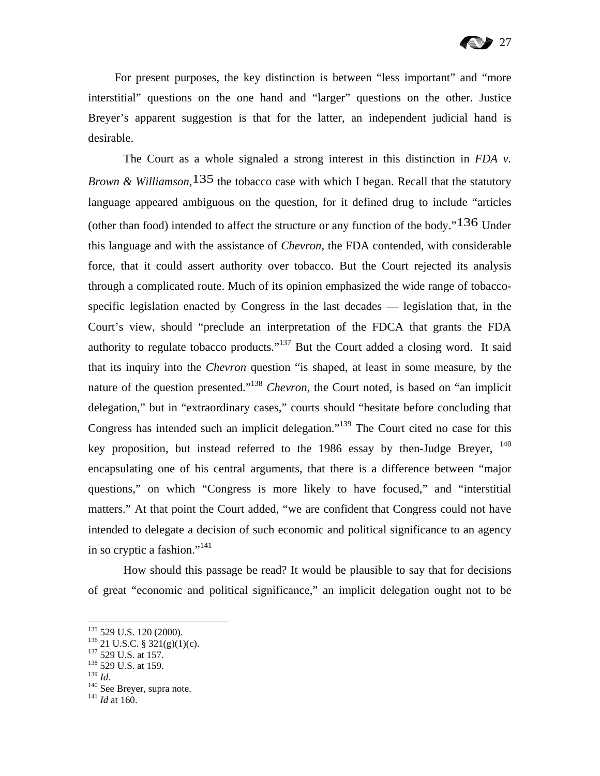For present purposes, the key distinction is between "less important" and "more interstitial" questions on the one hand and "larger" questions on the other. Justice Breyer's apparent suggestion is that for the latter, an independent judicial hand is desirable.

The Court as a whole signaled a strong interest in this distinction in *FDA v. Brown & Williamson*,135 the tobacco case with which I began. Recall that the statutory language appeared ambiguous on the question, for it defined drug to include "articles (other than food) intended to affect the structure or any function of the body." $136$  Under this language and with the assistance of *Chevron*, the FDA contended, with considerable force, that it could assert authority over tobacco. But the Court rejected its analysis through a complicated route. Much of its opinion emphasized the wide range of tobaccospecific legislation enacted by Congress in the last decades — legislation that, in the Court's view, should "preclude an interpretation of the FDCA that grants the FDA authority to regulate tobacco products."<sup>137</sup> But the Court added a closing word. It said that its inquiry into the *Chevron* question "is shaped, at least in some measure, by the nature of the question presented."138 *Chevron*, the Court noted, is based on "an implicit delegation," but in "extraordinary cases," courts should "hesitate before concluding that Congress has intended such an implicit delegation."<sup>139</sup> The Court cited no case for this key proposition, but instead referred to the  $1986$  essay by then-Judge Breyer,  $140$ encapsulating one of his central arguments, that there is a difference between "major questions," on which "Congress is more likely to have focused," and "interstitial matters." At that point the Court added, "we are confident that Congress could not have intended to delegate a decision of such economic and political significance to an agency in so cryptic a fashion."<sup>141</sup>

How should this passage be read? It would be plausible to say that for decisions of great "economic and political significance," an implicit delegation ought not to be

<sup>135 529</sup> U.S. 120 (2000).

<sup>136 21</sup> U.S.C. § 321(g)(1)(c).<br>
<sup>137</sup> 529 U.S. at 157.<br>
<sup>138</sup> 529 U.S. at 159.<br>
<sup>139</sup> Id.

<sup>139</sup> *Id.* 140 See Breyer, supra note. 141 *Id* at 160.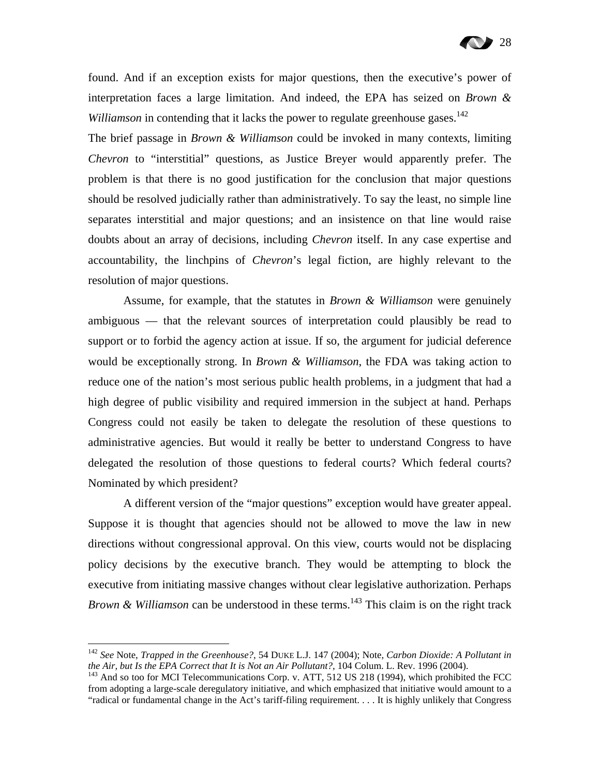found. And if an exception exists for major questions, then the executive's power of interpretation faces a large limitation. And indeed, the EPA has seized on *Brown & Williamson* in contending that it lacks the power to regulate greenhouse gases.<sup>142</sup>

The brief passage in *Brown & Williamson* could be invoked in many contexts, limiting *Chevron* to "interstitial" questions, as Justice Breyer would apparently prefer. The problem is that there is no good justification for the conclusion that major questions should be resolved judicially rather than administratively. To say the least, no simple line separates interstitial and major questions; and an insistence on that line would raise doubts about an array of decisions, including *Chevron* itself. In any case expertise and accountability, the linchpins of *Chevron*'s legal fiction, are highly relevant to the resolution of major questions.

Assume, for example, that the statutes in *Brown & Williamson* were genuinely ambiguous — that the relevant sources of interpretation could plausibly be read to support or to forbid the agency action at issue. If so, the argument for judicial deference would be exceptionally strong. In *Brown & Williamson*, the FDA was taking action to reduce one of the nation's most serious public health problems, in a judgment that had a high degree of public visibility and required immersion in the subject at hand. Perhaps Congress could not easily be taken to delegate the resolution of these questions to administrative agencies. But would it really be better to understand Congress to have delegated the resolution of those questions to federal courts? Which federal courts? Nominated by which president?

A different version of the "major questions" exception would have greater appeal. Suppose it is thought that agencies should not be allowed to move the law in new directions without congressional approval. On this view, courts would not be displacing policy decisions by the executive branch. They would be attempting to block the executive from initiating massive changes without clear legislative authorization. Perhaps *Brown & Williamson* can be understood in these terms.<sup>143</sup> This claim is on the right track

<sup>142</sup> *See* Note, *Trapped in the Greenhouse?*, 54 DUKE L.J. 147 (2004); Note, *Carbon Dioxide: A Pollutant in the Air, but Is the EPA Correct that It is Not an Air Pollutant?*, 104 Colum. L. Rev. 1996 (2004).<br><sup>143</sup> And so too for MCI Telecommunications Corp. v. ATT, 512 US 218 (1994), which prohibited the FCC

from adopting a large-scale deregulatory initiative, and which emphasized that initiative would amount to a "radical or fundamental change in the Act's tariff-filing requirement. . . . It is highly unlikely that Congress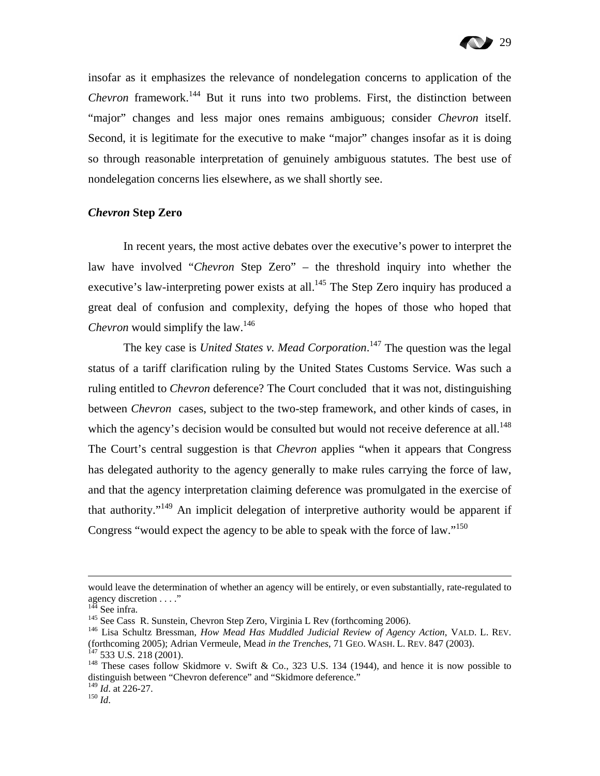insofar as it emphasizes the relevance of nondelegation concerns to application of the *Chevron* framework.<sup>144</sup> But it runs into two problems. First, the distinction between "major" changes and less major ones remains ambiguous; consider *Chevron* itself. Second, it is legitimate for the executive to make "major" changes insofar as it is doing so through reasonable interpretation of genuinely ambiguous statutes. The best use of nondelegation concerns lies elsewhere, as we shall shortly see.

#### *Chevron* **Step Zero**

In recent years, the most active debates over the executive's power to interpret the law have involved "*Chevron* Step Zero" – the threshold inquiry into whether the executive's law-interpreting power exists at all.<sup>145</sup> The Step Zero inquiry has produced a great deal of confusion and complexity, defying the hopes of those who hoped that *Chevron* would simplify the law.<sup>146</sup>

The key case is *United States v. Mead Corporation*. 147 The question was the legal status of a tariff clarification ruling by the United States Customs Service. Was such a ruling entitled to *Chevron* deference? The Court concluded that it was not, distinguishing between *Chevron* cases, subject to the two-step framework, and other kinds of cases, in which the agency's decision would be consulted but would not receive deference at all.<sup>148</sup> The Court's central suggestion is that *Chevron* applies "when it appears that Congress has delegated authority to the agency generally to make rules carrying the force of law, and that the agency interpretation claiming deference was promulgated in the exercise of that authority."<sup>149</sup> An implicit delegation of interpretive authority would be apparent if Congress "would expect the agency to be able to speak with the force of law."<sup>150</sup>

would leave the determination of whether an agency will be entirely, or even substantially, rate-regulated to agency discretion . . . ."<br> $144$  See infra.

<sup>145</sup> See Cass R. Sunstein, Chevron Step Zero, Virginia L Rev (forthcoming 2006).<br><sup>146</sup> Lisa Schultz Bressman, *How Mead Has Muddled Judicial Review of Agency Action*, VALD. L. REV. (forthcoming 2005); Adrian Vermeule, Mead in the Trenches, 71 GEO. WASH. L. REV. 847 (2003).<br><sup>147</sup> 533 U.S. 218 (2001).<br><sup>148</sup> These cases follow Skidmore v. Swift & Co., 323 U.S. 134 (1944), and hence it is now possible t

distinguish between "Chevron deference" and "Skidmore deference."

<sup>149</sup> *Id*. at 226-27. 150 *Id*.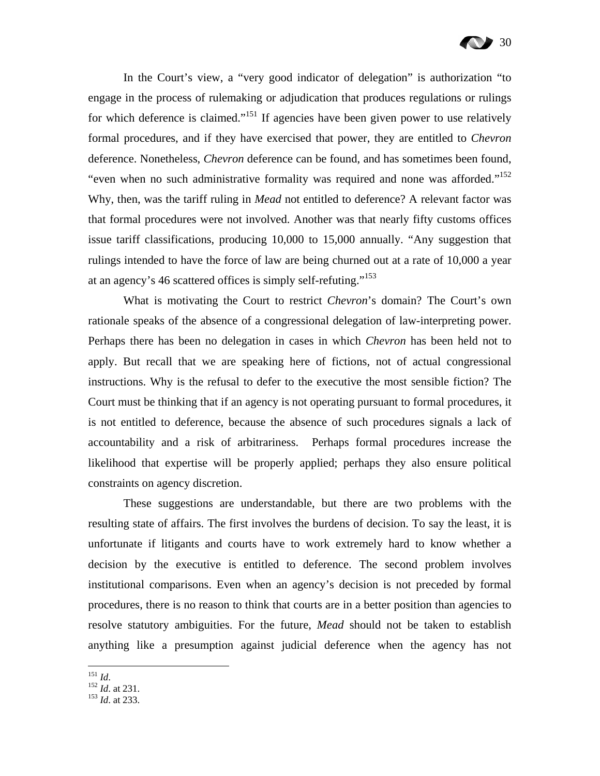In the Court's view, a "very good indicator of delegation" is authorization "to engage in the process of rulemaking or adjudication that produces regulations or rulings for which deference is claimed."<sup>151</sup> If agencies have been given power to use relatively formal procedures, and if they have exercised that power, they are entitled to *Chevron* deference. Nonetheless, *Chevron* deference can be found, and has sometimes been found, "even when no such administrative formality was required and none was afforded."152 Why, then, was the tariff ruling in *Mead* not entitled to deference? A relevant factor was that formal procedures were not involved. Another was that nearly fifty customs offices issue tariff classifications, producing 10,000 to 15,000 annually. "Any suggestion that rulings intended to have the force of law are being churned out at a rate of 10,000 a year at an agency's 46 scattered offices is simply self-refuting."153

What is motivating the Court to restrict *Chevron*'s domain? The Court's own rationale speaks of the absence of a congressional delegation of law-interpreting power. Perhaps there has been no delegation in cases in which *Chevron* has been held not to apply. But recall that we are speaking here of fictions, not of actual congressional instructions. Why is the refusal to defer to the executive the most sensible fiction? The Court must be thinking that if an agency is not operating pursuant to formal procedures, it is not entitled to deference, because the absence of such procedures signals a lack of accountability and a risk of arbitrariness. Perhaps formal procedures increase the likelihood that expertise will be properly applied; perhaps they also ensure political constraints on agency discretion.

These suggestions are understandable, but there are two problems with the resulting state of affairs. The first involves the burdens of decision. To say the least, it is unfortunate if litigants and courts have to work extremely hard to know whether a decision by the executive is entitled to deference. The second problem involves institutional comparisons. Even when an agency's decision is not preceded by formal procedures, there is no reason to think that courts are in a better position than agencies to resolve statutory ambiguities. For the future, *Mead* should not be taken to establish anything like a presumption against judicial deference when the agency has not

 $^{151}$  *Id.* 

<sup>151</sup> *Id*. 152 *Id*. at 231. 153 *Id*. at 233.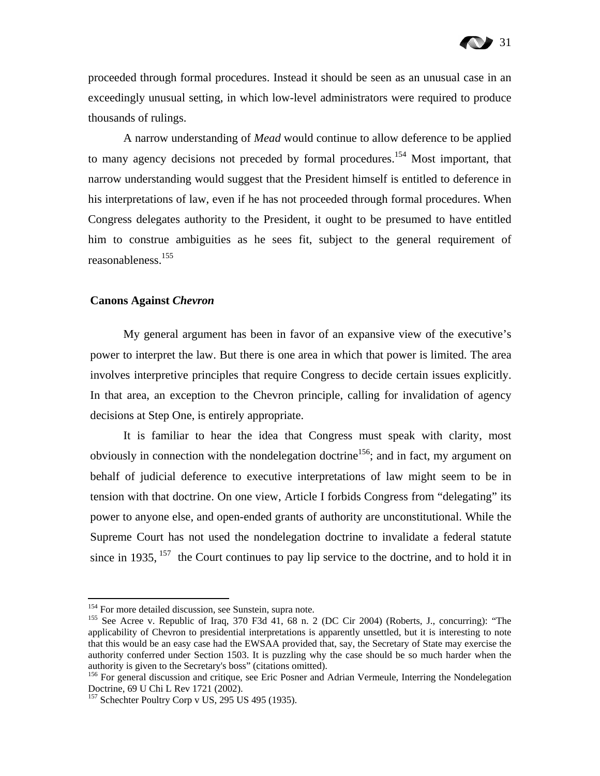proceeded through formal procedures. Instead it should be seen as an unusual case in an exceedingly unusual setting, in which low-level administrators were required to produce thousands of rulings.

A narrow understanding of *Mead* would continue to allow deference to be applied to many agency decisions not preceded by formal procedures.<sup>154</sup> Most important, that narrow understanding would suggest that the President himself is entitled to deference in his interpretations of law, even if he has not proceeded through formal procedures. When Congress delegates authority to the President, it ought to be presumed to have entitled him to construe ambiguities as he sees fit, subject to the general requirement of reasonableness.155

#### **Canons Against** *Chevron*

My general argument has been in favor of an expansive view of the executive's power to interpret the law. But there is one area in which that power is limited. The area involves interpretive principles that require Congress to decide certain issues explicitly. In that area, an exception to the Chevron principle, calling for invalidation of agency decisions at Step One, is entirely appropriate.

It is familiar to hear the idea that Congress must speak with clarity, most obviously in connection with the nondelegation doctrine<sup>156</sup>; and in fact, my argument on behalf of judicial deference to executive interpretations of law might seem to be in tension with that doctrine. On one view, Article I forbids Congress from "delegating" its power to anyone else, and open-ended grants of authority are unconstitutional. While the Supreme Court has not used the nondelegation doctrine to invalidate a federal statute since in 1935,  $157$  the Court continues to pay lip service to the doctrine, and to hold it in

<sup>&</sup>lt;sup>154</sup> For more detailed discussion, see Sunstein, supra note.<br><sup>155</sup> See Acree v. Republic of Iraq, 370 F3d 41, 68 n. 2 (DC Cir 2004) (Roberts, J., concurring): "The applicability of Chevron to presidential interpretations is apparently unsettled, but it is interesting to note that this would be an easy case had the EWSAA provided that, say, the Secretary of State may exercise the authority conferred under Section 1503. It is puzzling why the case should be so much harder when the authority is given to the Secretary's boss" (citations omitted).

<sup>&</sup>lt;sup>156</sup> For general discussion and critique, see Eric Posner and Adrian Vermeule, Interring the Nondelegation Doctrine, 69 U Chi L Rev 1721 (2002).

 $157$  Schechter Poultry Corp v US, 295 US 495 (1935).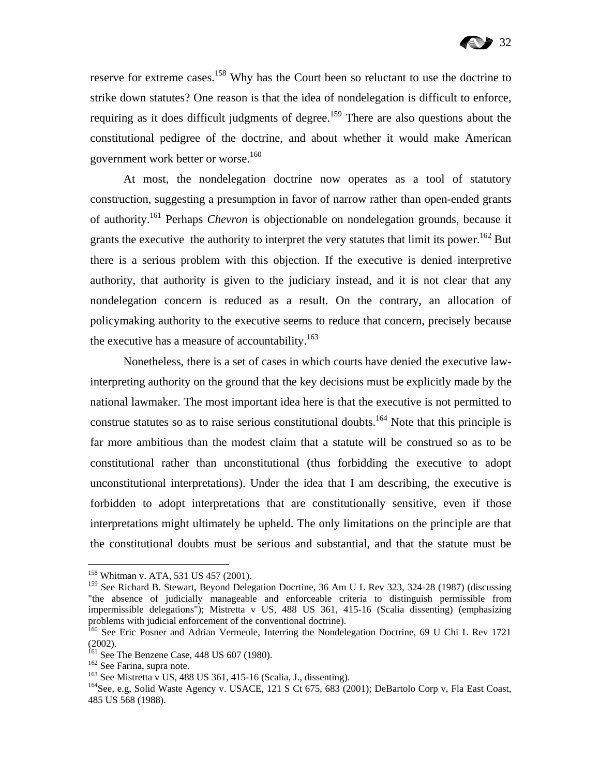reserve for extreme cases.<sup>158</sup> Why has the Court been so reluctant to use the doctrine to strike down statutes? One reason is that the idea of nondelegation is difficult to enforce, requiring as it does difficult judgments of degree.<sup>159</sup> There are also questions about the constitutional pedigree of the doctrine, and about whether it would make American government work better or worse.<sup>160</sup>

At most, the nondelegation doctrine now operates as a tool of statutory construction, suggesting a presumption in favor of narrow rather than open-ended grants of authority.161 Perhaps *Chevron* is objectionable on nondelegation grounds, because it grants the executive the authority to interpret the very statutes that limit its power.<sup>162</sup> But there is a serious problem with this objection. If the executive is denied interpretive authority, that authority is given to the judiciary instead, and it is not clear that any nondelegation concern is reduced as a result. On the contrary, an allocation of policymaking authority to the executive seems to reduce that concern, precisely because the executive has a measure of accountability.<sup>163</sup>

Nonetheless, there is a set of cases in which courts have denied the executive lawinterpreting authority on the ground that the key decisions must be explicitly made by the national lawmaker. The most important idea here is that the executive is not permitted to construe statutes so as to raise serious constitutional doubts.<sup>164</sup> Note that this principle is far more ambitious than the modest claim that a statute will be construed so as to be constitutional rather than unconstitutional (thus forbidding the executive to adopt unconstitutional interpretations). Under the idea that I am describing, the executive is forbidden to adopt interpretations that are constitutionally sensitive, even if those interpretations might ultimately be upheld. The only limitations on the principle are that the constitutional doubts must be serious and substantial, and that the statute must be

<sup>&</sup>lt;sup>158</sup> Whitman v. ATA, 531 US 457 (2001).

<sup>&</sup>lt;sup>159</sup> See Richard B. Stewart, Beyond Delegation Docrtine, 36 Am U L Rev 323, 324-28 (1987) (discussing "the absence of judicially manageable and enforceable criteria to distinguish permissible from impermissible delegations"); Mistretta v US, 488 US 361, 415-16 (Scalia dissenting) (emphasizing problems with judicial enforcement of the conventional doctrine).

<sup>&</sup>lt;sup>160</sup> See Eric Posner and Adrian Vermeule, Interring the Nondelegation Doctrine, 69 U Chi L Rev 1721 (2002).<br><sup>161</sup> See The Benzene Case, 448 US 607 (1980).

<sup>&</sup>lt;sup>162</sup> See Farina, supra note.<br><sup>163</sup> See Mistretta v US, 488 US 361, 415-16 (Scalia, J., dissenting).<br><sup>164</sup> See, e.g, Solid Waste Agency v. USACE, 121 S Ct 675, 683 (2001); DeBartolo Corp v, Fla East Coast, 485 US 568 (1988).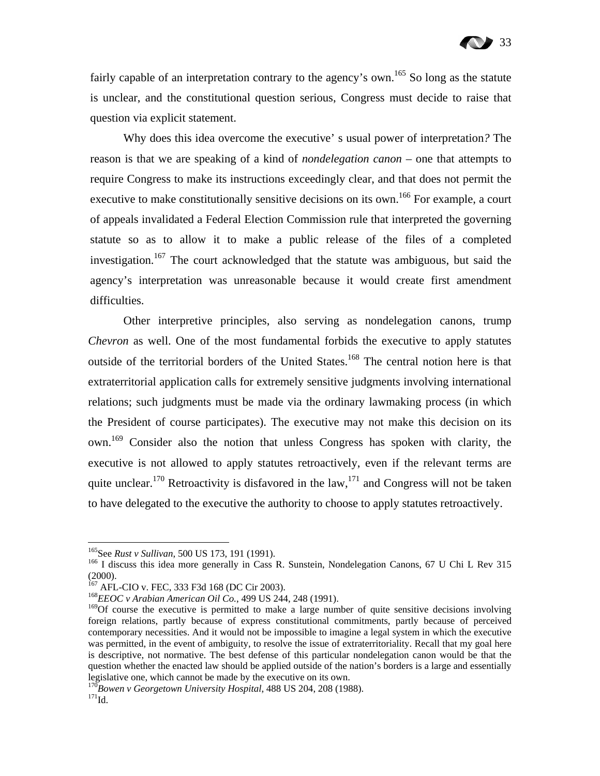fairly capable of an interpretation contrary to the agency's own.<sup>165</sup> So long as the statute is unclear, and the constitutional question serious, Congress must decide to raise that question via explicit statement.

Why does this idea overcome the executive' s usual power of interpretation*?* The reason is that we are speaking of a kind of *nondelegation canon* – one that attempts to require Congress to make its instructions exceedingly clear, and that does not permit the executive to make constitutionally sensitive decisions on its own.<sup>166</sup> For example, a court of appeals invalidated a Federal Election Commission rule that interpreted the governing statute so as to allow it to make a public release of the files of a completed investigation.<sup>167</sup> The court acknowledged that the statute was ambiguous, but said the agency's interpretation was unreasonable because it would create first amendment difficulties.

Other interpretive principles, also serving as nondelegation canons, trump *Chevron* as well. One of the most fundamental forbids the executive to apply statutes outside of the territorial borders of the United States.<sup>168</sup> The central notion here is that extraterritorial application calls for extremely sensitive judgments involving international relations; such judgments must be made via the ordinary lawmaking process (in which the President of course participates). The executive may not make this decision on its own.169 Consider also the notion that unless Congress has spoken with clarity, the executive is not allowed to apply statutes retroactively, even if the relevant terms are quite unclear.<sup>170</sup> Retroactivity is disfavored in the law,<sup>171</sup> and Congress will not be taken to have delegated to the executive the authority to choose to apply statutes retroactively.

<sup>&</sup>lt;sup>165</sup>See *Rust v Sullivan*, 500 US 173, 191 (1991).<br><sup>166</sup> I discuss this idea more generally in Cass R. Sunstein, Nondelegation Canons, 67 U Chi L Rev 315 (2000).<br><sup>167</sup> AFL-CIO v. FEC, 333 F3d 168 (DC Cir 2003).

<sup>&</sup>lt;sup>168</sup> EEOC v Arabian American Oil Co., 499 US 244, 248 (1991).

<sup>&</sup>lt;sup>169</sup>Of course the executive is permitted to make a large number of quite sensitive decisions involving foreign relations, partly because of express constitutional commitments, partly because of perceived contemporary necessities. And it would not be impossible to imagine a legal system in which the executive was permitted, in the event of ambiguity, to resolve the issue of extraterritoriality. Recall that my goal here is descriptive, not normative. The best defense of this particular nondelegation canon would be that the question whether the enacted law should be applied outside of the nation's borders is a large and essentially legislative one, which cannot be made by the executive on its own.

<sup>&</sup>lt;sup>170</sup>Bowen v Georgetown University Hospital, 488 US 204, 208 (1988).<br><sup>171</sup>Id.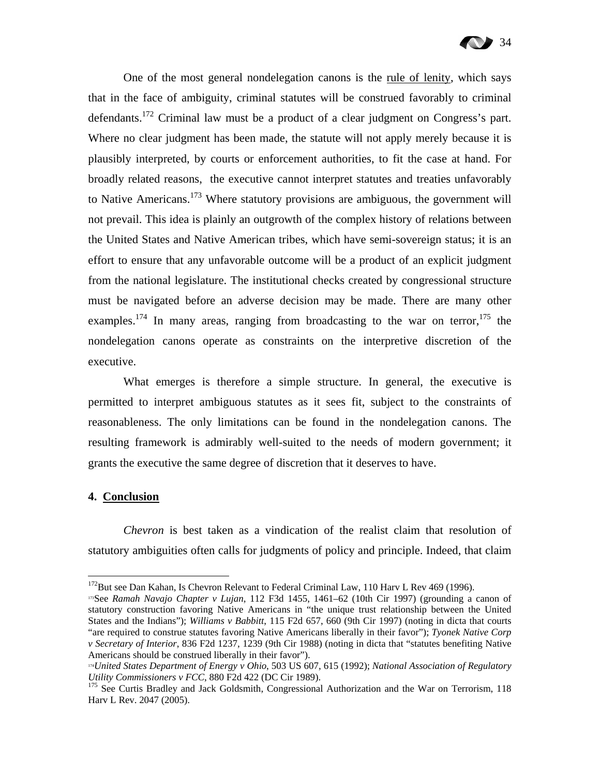

One of the most general nondelegation canons is the rule of lenity, which says that in the face of ambiguity, criminal statutes will be construed favorably to criminal defendants.172 Criminal law must be a product of a clear judgment on Congress's part. Where no clear judgment has been made, the statute will not apply merely because it is plausibly interpreted, by courts or enforcement authorities, to fit the case at hand. For broadly related reasons, the executive cannot interpret statutes and treaties unfavorably to Native Americans.<sup>173</sup> Where statutory provisions are ambiguous, the government will not prevail. This idea is plainly an outgrowth of the complex history of relations between the United States and Native American tribes, which have semi-sovereign status; it is an effort to ensure that any unfavorable outcome will be a product of an explicit judgment from the national legislature. The institutional checks created by congressional structure must be navigated before an adverse decision may be made. There are many other examples.<sup>174</sup> In many areas, ranging from broadcasting to the war on terror,<sup>175</sup> the nondelegation canons operate as constraints on the interpretive discretion of the executive.

What emerges is therefore a simple structure. In general, the executive is permitted to interpret ambiguous statutes as it sees fit, subject to the constraints of reasonableness. The only limitations can be found in the nondelegation canons. The resulting framework is admirably well-suited to the needs of modern government; it grants the executive the same degree of discretion that it deserves to have.

#### **4. Conclusion**

 $\overline{a}$ 

*Chevron* is best taken as a vindication of the realist claim that resolution of statutory ambiguities often calls for judgments of policy and principle. Indeed, that claim

<sup>&</sup>lt;sup>172</sup>But see Dan Kahan, Is Chevron Relevant to Federal Criminal Law, 110 Harv L Rev 469 (1996).<br><sup>173</sup>See *Ramah Navajo Chapter v Lujan*, 112 F3d 1455, 1461–62 (10th Cir 1997) (grounding a canon of

statutory construction favoring Native Americans in "the unique trust relationship between the United States and the Indians"); *Williams v Babbitt*, 115 F2d 657, 660 (9th Cir 1997) (noting in dicta that courts "are required to construe statutes favoring Native Americans liberally in their favor"); *Tyonek Native Corp v Secretary of Interior*, 836 F2d 1237, 1239 (9th Cir 1988) (noting in dicta that "statutes benefiting Native Americans should be construed liberally in their favor").

<sup>&</sup>lt;sup>174</sup>*United States Department of Energy v Ohio*, 503 US 607, 615 (1992); *National Association of Regulatory Utility Commissioners v FCC*, 880 F2d 422 (DC Cir 1989).

<sup>&</sup>lt;sup>175</sup> See Curtis Bradley and Jack Goldsmith, Congressional Authorization and the War on Terrorism, 118 Harv L Rev. 2047 (2005).